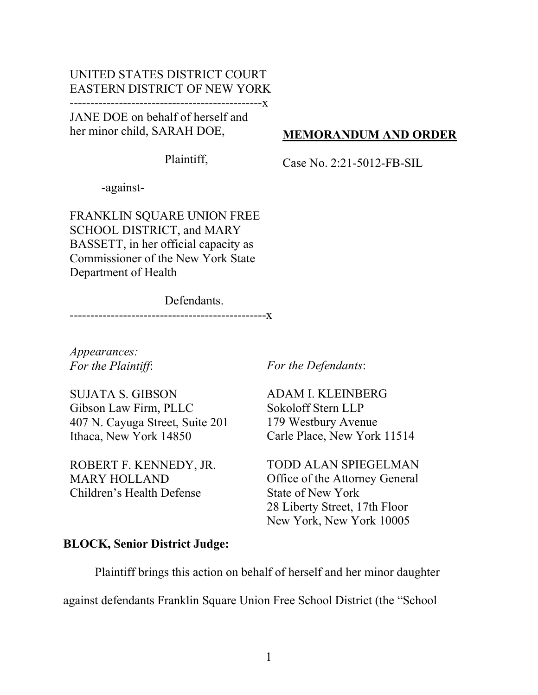## UNITED STATES DISTRICT COURT EASTERN DISTRICT OF NEW YORK

-----------------------------------------------x

JANE DOE on behalf of herself and her minor child, SARAH DOE,

Plaintiff,

Case No. 2:21-5012-FB-SIL

MEMORANDUM AND ORDER

-against-

FRANKLIN SQUARE UNION FREE SCHOOL DISTRICT, and MARY BASSETT, in her official capacity as Commissioner of the New York State Department of Health

 Defendants. ------------------------------------------------x

Appearances: For the Plaintiff:

For the Defendants:

SUJATA S. GIBSON Gibson Law Firm, PLLC 407 N. Cayuga Street, Suite 201 Ithaca, New York 14850

ROBERT F. KENNEDY, JR. MARY HOLLAND Children's Health Defense

ADAM I. KLEINBERG Sokoloff Stern LLP 179 Westbury Avenue Carle Place, New York 11514

TODD ALAN SPIEGELMAN Office of the Attorney General State of New York 28 Liberty Street, 17th Floor New York, New York 10005

## BLOCK, Senior District Judge:

Plaintiff brings this action on behalf of herself and her minor daughter

against defendants Franklin Square Union Free School District (the "School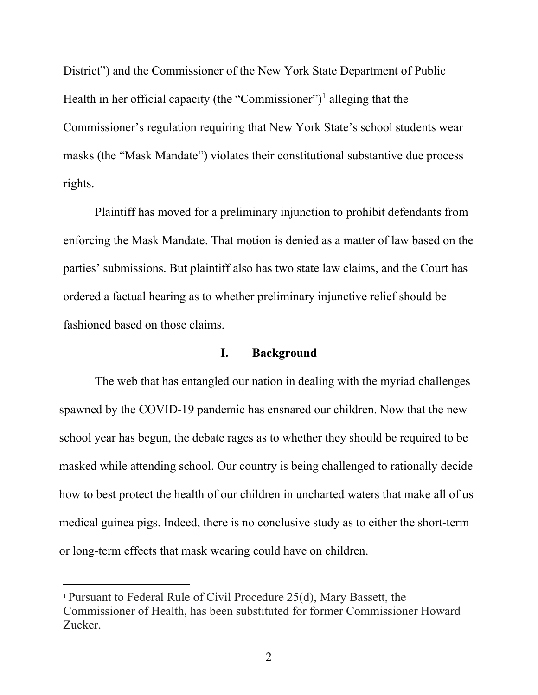District") and the Commissioner of the New York State Department of Public Health in her official capacity (the "Commissioner")<sup>1</sup> alleging that the Commissioner's regulation requiring that New York State's school students wear masks (the "Mask Mandate") violates their constitutional substantive due process rights.

Plaintiff has moved for a preliminary injunction to prohibit defendants from enforcing the Mask Mandate. That motion is denied as a matter of law based on the parties' submissions. But plaintiff also has two state law claims, and the Court has ordered a factual hearing as to whether preliminary injunctive relief should be fashioned based on those claims.

### I. Background

The web that has entangled our nation in dealing with the myriad challenges spawned by the COVID-19 pandemic has ensnared our children. Now that the new school year has begun, the debate rages as to whether they should be required to be masked while attending school. Our country is being challenged to rationally decide how to best protect the health of our children in uncharted waters that make all of us medical guinea pigs. Indeed, there is no conclusive study as to either the short-term or long-term effects that mask wearing could have on children.

<sup>1</sup> Pursuant to Federal Rule of Civil Procedure 25(d), Mary Bassett, the Commissioner of Health, has been substituted for former Commissioner Howard Zucker.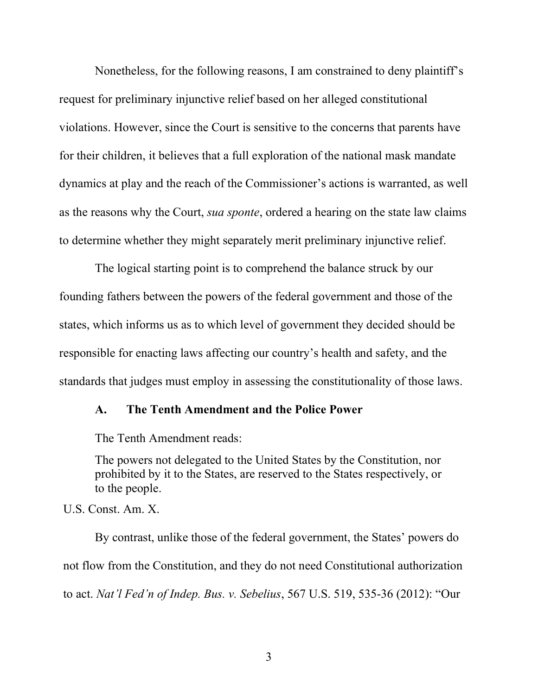Nonetheless, for the following reasons, I am constrained to deny plaintiff's request for preliminary injunctive relief based on her alleged constitutional violations. However, since the Court is sensitive to the concerns that parents have for their children, it believes that a full exploration of the national mask mandate dynamics at play and the reach of the Commissioner's actions is warranted, as well as the reasons why the Court, *sua sponte*, ordered a hearing on the state law claims to determine whether they might separately merit preliminary injunctive relief.

The logical starting point is to comprehend the balance struck by our founding fathers between the powers of the federal government and those of the states, which informs us as to which level of government they decided should be responsible for enacting laws affecting our country's health and safety, and the standards that judges must employ in assessing the constitutionality of those laws.

### A. The Tenth Amendment and the Police Power

The Tenth Amendment reads:

The powers not delegated to the United States by the Constitution, nor prohibited by it to the States, are reserved to the States respectively, or to the people.

U.S. Const. Am. X.

By contrast, unlike those of the federal government, the States' powers do not flow from the Constitution, and they do not need Constitutional authorization to act. Nat'l Fed'n of Indep. Bus. v. Sebelius, 567 U.S. 519, 535-36 (2012): "Our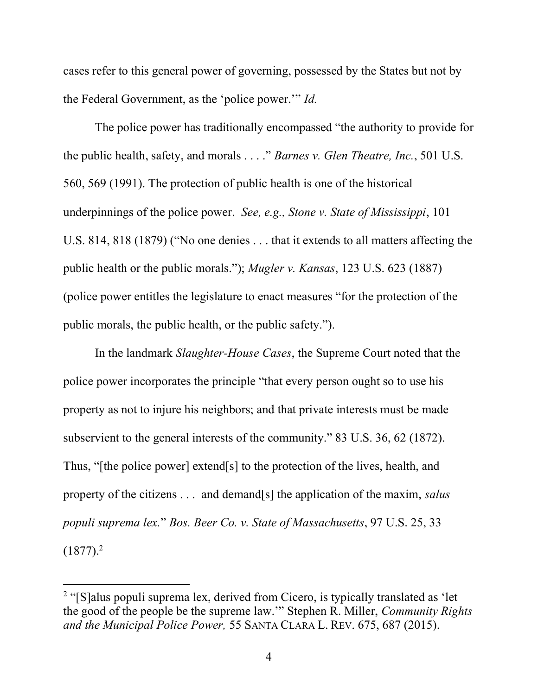cases refer to this general power of governing, possessed by the States but not by the Federal Government, as the 'police power.'" Id.

The police power has traditionally encompassed "the authority to provide for the public health, safety, and morals . . . ." Barnes v. Glen Theatre, Inc., 501 U.S. 560, 569 (1991). The protection of public health is one of the historical underpinnings of the police power. See, e.g., Stone v. State of Mississippi, 101 U.S. 814, 818 (1879) ("No one denies . . . that it extends to all matters affecting the public health or the public morals."); Mugler v. Kansas, 123 U.S. 623 (1887) (police power entitles the legislature to enact measures "for the protection of the public morals, the public health, or the public safety.").

In the landmark Slaughter-House Cases, the Supreme Court noted that the police power incorporates the principle "that every person ought so to use his property as not to injure his neighbors; and that private interests must be made subservient to the general interests of the community." 83 U.S. 36, 62 (1872). Thus, "[the police power] extend[s] to the protection of the lives, health, and property of the citizens . . . and demand[s] the application of the maxim, salus populi suprema lex." Bos. Beer Co. v. State of Massachusetts, 97 U.S. 25, 33  $(1877).<sup>2</sup>$ 

<sup>&</sup>lt;sup>2</sup> "[S]alus populi suprema lex, derived from Cicero, is typically translated as 'let the good of the people be the supreme law.'" Stephen R. Miller, Community Rights and the Municipal Police Power, 55 SANTA CLARA L. REV. 675, 687 (2015).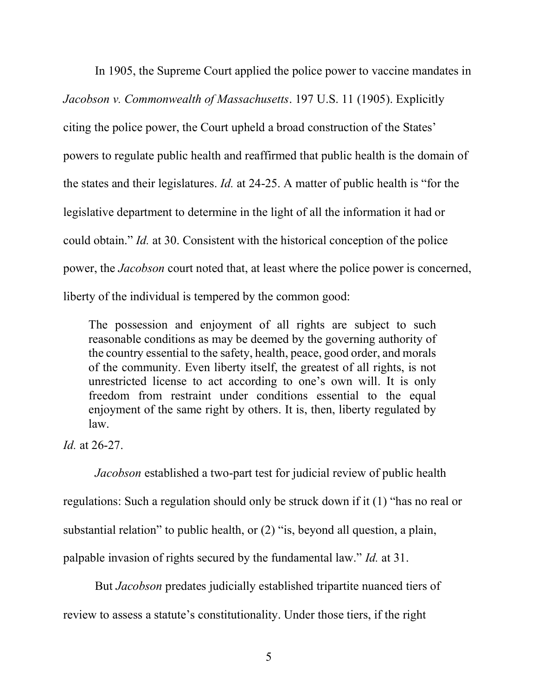In 1905, the Supreme Court applied the police power to vaccine mandates in Jacobson v. Commonwealth of Massachusetts. 197 U.S. 11 (1905). Explicitly citing the police power, the Court upheld a broad construction of the States' powers to regulate public health and reaffirmed that public health is the domain of the states and their legislatures. Id. at 24-25. A matter of public health is "for the legislative department to determine in the light of all the information it had or could obtain." Id. at 30. Consistent with the historical conception of the police power, the Jacobson court noted that, at least where the police power is concerned, liberty of the individual is tempered by the common good:

The possession and enjoyment of all rights are subject to such reasonable conditions as may be deemed by the governing authority of the country essential to the safety, health, peace, good order, and morals of the community. Even liberty itself, the greatest of all rights, is not unrestricted license to act according to one's own will. It is only freedom from restraint under conditions essential to the equal enjoyment of the same right by others. It is, then, liberty regulated by law.

Id. at 26-27.

Jacobson established a two-part test for judicial review of public health regulations: Such a regulation should only be struck down if it (1) "has no real or substantial relation" to public health, or (2) "is, beyond all question, a plain, palpable invasion of rights secured by the fundamental law." Id. at 31.

But Jacobson predates judicially established tripartite nuanced tiers of review to assess a statute's constitutionality. Under those tiers, if the right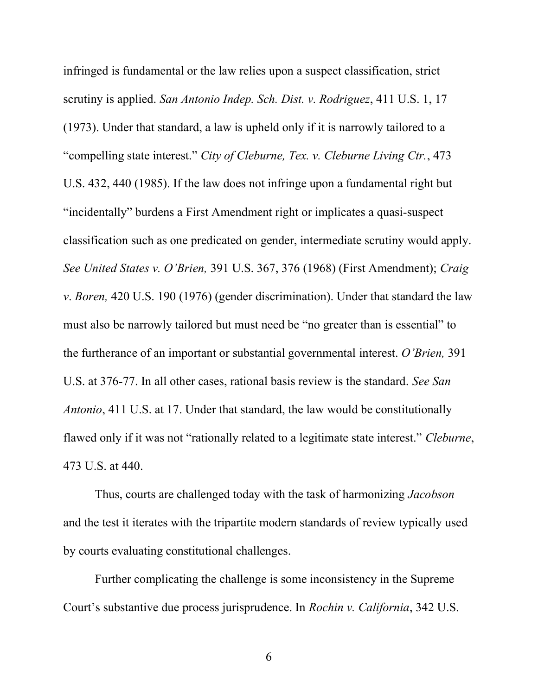infringed is fundamental or the law relies upon a suspect classification, strict scrutiny is applied. San Antonio Indep. Sch. Dist. v. Rodriguez, 411 U.S. 1, 17 (1973). Under that standard, a law is upheld only if it is narrowly tailored to a "compelling state interest." City of Cleburne, Tex. v. Cleburne Living Ctr., 473 U.S. 432, 440 (1985). If the law does not infringe upon a fundamental right but "incidentally" burdens a First Amendment right or implicates a quasi-suspect classification such as one predicated on gender, intermediate scrutiny would apply. See United States v. O'Brien, 391 U.S. 367, 376 (1968) (First Amendment); Craig v. Boren, 420 U.S. 190 (1976) (gender discrimination). Under that standard the law must also be narrowly tailored but must need be "no greater than is essential" to the furtherance of an important or substantial governmental interest. O'Brien, 391 U.S. at 376-77. In all other cases, rational basis review is the standard. See San Antonio, 411 U.S. at 17. Under that standard, the law would be constitutionally flawed only if it was not "rationally related to a legitimate state interest." Cleburne, 473 U.S. at 440.

Thus, courts are challenged today with the task of harmonizing Jacobson and the test it iterates with the tripartite modern standards of review typically used by courts evaluating constitutional challenges.

Further complicating the challenge is some inconsistency in the Supreme Court's substantive due process jurisprudence. In Rochin v. California, 342 U.S.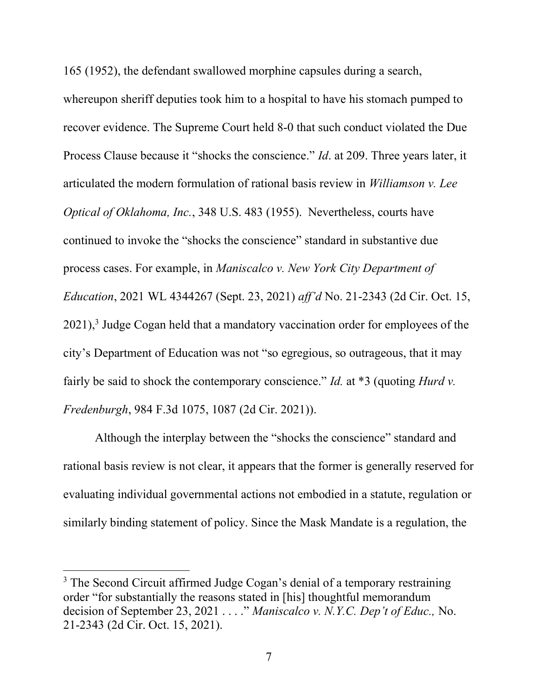165 (1952), the defendant swallowed morphine capsules during a search,

whereupon sheriff deputies took him to a hospital to have his stomach pumped to recover evidence. The Supreme Court held 8-0 that such conduct violated the Due Process Clause because it "shocks the conscience." Id. at 209. Three years later, it articulated the modern formulation of rational basis review in Williamson v. Lee Optical of Oklahoma, Inc., 348 U.S. 483 (1955). Nevertheless, courts have continued to invoke the "shocks the conscience" standard in substantive due process cases. For example, in Maniscalco v. New York City Department of Education, 2021 WL 4344267 (Sept. 23, 2021) aff'd No. 21-2343 (2d Cir. Oct. 15,  $2021$ ,<sup>3</sup> Judge Cogan held that a mandatory vaccination order for employees of the city's Department of Education was not "so egregious, so outrageous, that it may fairly be said to shock the contemporary conscience." Id. at  $*3$  (quoting Hurd v. Fredenburgh, 984 F.3d 1075, 1087 (2d Cir. 2021)).

Although the interplay between the "shocks the conscience" standard and rational basis review is not clear, it appears that the former is generally reserved for evaluating individual governmental actions not embodied in a statute, regulation or similarly binding statement of policy. Since the Mask Mandate is a regulation, the

<sup>&</sup>lt;sup>3</sup> The Second Circuit affirmed Judge Cogan's denial of a temporary restraining order "for substantially the reasons stated in [his] thoughtful memorandum decision of September 23, 2021 . . . ." Maniscalco v. N.Y.C. Dep't of Educ., No. 21-2343 (2d Cir. Oct. 15, 2021).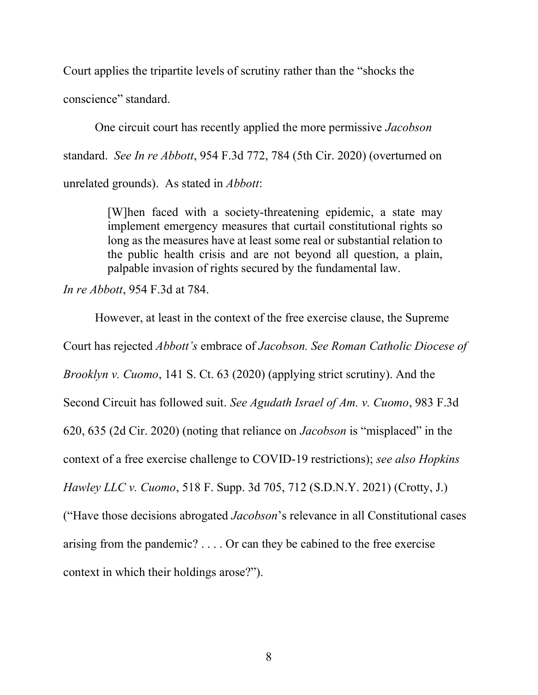Court applies the tripartite levels of scrutiny rather than the "shocks the conscience" standard.

One circuit court has recently applied the more permissive Jacobson standard. See In re Abbott, 954 F.3d 772, 784 (5th Cir. 2020) (overturned on unrelated grounds). As stated in Abbott:

> [W]hen faced with a society-threatening epidemic, a state may implement emergency measures that curtail constitutional rights so long as the measures have at least some real or substantial relation to the public health crisis and are not beyond all question, a plain, palpable invasion of rights secured by the fundamental law.

In re Abbott, 954 F.3d at 784.

 However, at least in the context of the free exercise clause, the Supreme Court has rejected Abbott's embrace of Jacobson. See Roman Catholic Diocese of Brooklyn v. Cuomo, 141 S. Ct. 63 (2020) (applying strict scrutiny). And the Second Circuit has followed suit. See Agudath Israel of Am. v. Cuomo, 983 F.3d 620, 635 (2d Cir. 2020) (noting that reliance on Jacobson is "misplaced" in the context of a free exercise challenge to COVID-19 restrictions); see also Hopkins Hawley LLC v. Cuomo, 518 F. Supp. 3d 705, 712 (S.D.N.Y. 2021) (Crotty, J.) ("Have those decisions abrogated Jacobson's relevance in all Constitutional cases arising from the pandemic? . . . . Or can they be cabined to the free exercise context in which their holdings arose?").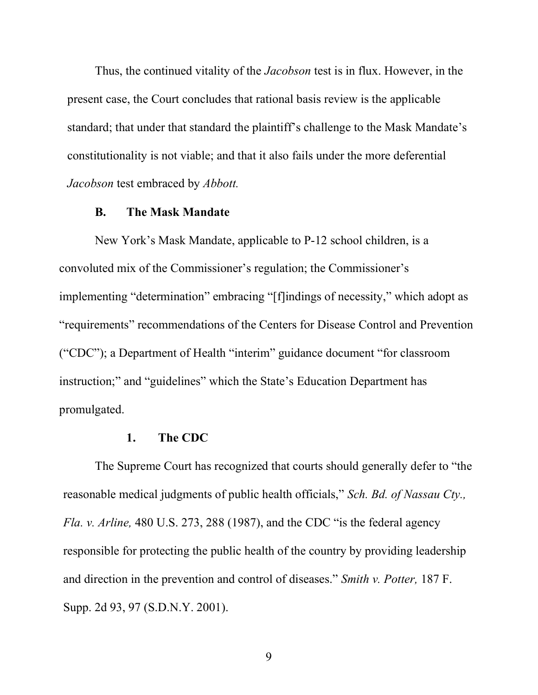Thus, the continued vitality of the *Jacobson* test is in flux. However, in the present case, the Court concludes that rational basis review is the applicable standard; that under that standard the plaintiff's challenge to the Mask Mandate's constitutionality is not viable; and that it also fails under the more deferential Jacobson test embraced by Abbott.

#### B. The Mask Mandate

New York's Mask Mandate, applicable to P-12 school children, is a convoluted mix of the Commissioner's regulation; the Commissioner's implementing "determination" embracing "[f]indings of necessity," which adopt as "requirements" recommendations of the Centers for Disease Control and Prevention ("CDC"); a Department of Health "interim" guidance document "for classroom instruction;" and "guidelines" which the State's Education Department has promulgated.

### 1. The CDC

The Supreme Court has recognized that courts should generally defer to "the reasonable medical judgments of public health officials," Sch. Bd. of Nassau Cty., Fla. v. Arline, 480 U.S. 273, 288 (1987), and the CDC "is the federal agency responsible for protecting the public health of the country by providing leadership and direction in the prevention and control of diseases." Smith v. Potter, 187 F. Supp. 2d 93, 97 (S.D.N.Y. 2001).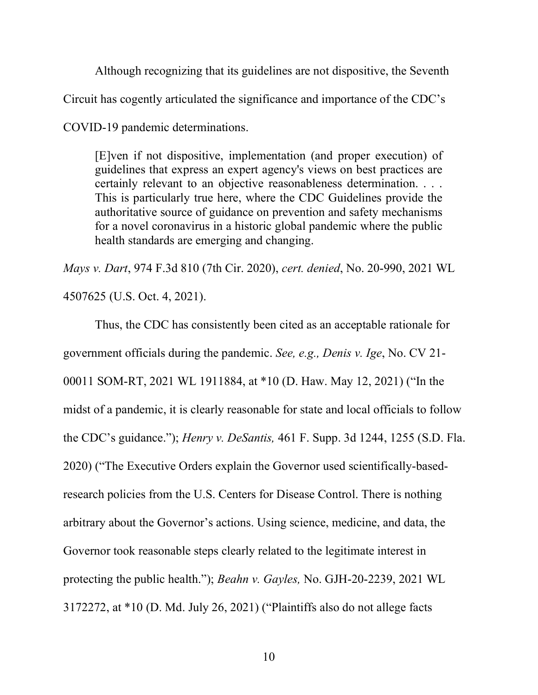Although recognizing that its guidelines are not dispositive, the Seventh Circuit has cogently articulated the significance and importance of the CDC's COVID-19 pandemic determinations.

[E]ven if not dispositive, implementation (and proper execution) of guidelines that express an expert agency's views on best practices are certainly relevant to an objective reasonableness determination. . . . This is particularly true here, where the CDC Guidelines provide the authoritative source of guidance on prevention and safety mechanisms for a novel coronavirus in a historic global pandemic where the public health standards are emerging and changing.

Mays v. Dart, 974 F.3d 810 (7th Cir. 2020), cert. denied, No. 20-990, 2021 WL 4507625 (U.S. Oct. 4, 2021).

 Thus, the CDC has consistently been cited as an acceptable rationale for government officials during the pandemic. See, e.g., Denis v. Ige, No. CV 21- 00011 SOM-RT, 2021 WL 1911884, at \*10 (D. Haw. May 12, 2021) ("In the midst of a pandemic, it is clearly reasonable for state and local officials to follow the CDC's guidance."); Henry v. DeSantis, 461 F. Supp. 3d 1244, 1255 (S.D. Fla. 2020) ("The Executive Orders explain the Governor used scientifically-basedresearch policies from the U.S. Centers for Disease Control. There is nothing arbitrary about the Governor's actions. Using science, medicine, and data, the Governor took reasonable steps clearly related to the legitimate interest in protecting the public health."); Beahn v. Gayles, No. GJH-20-2239, 2021 WL 3172272, at \*10 (D. Md. July 26, 2021) ("Plaintiffs also do not allege facts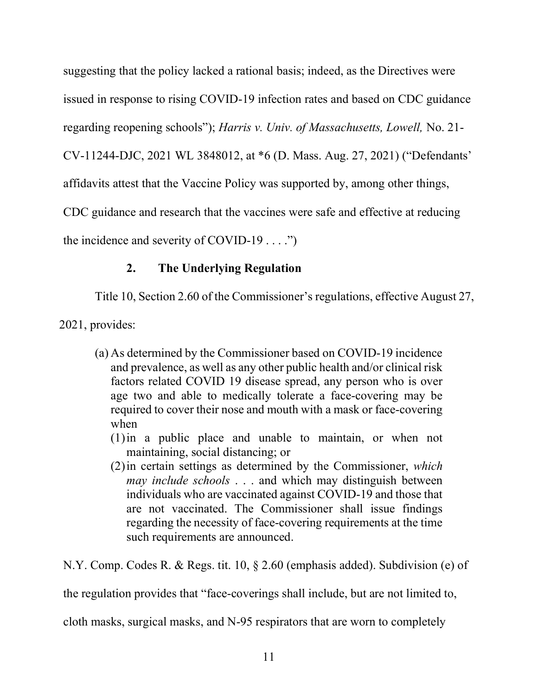suggesting that the policy lacked a rational basis; indeed, as the Directives were issued in response to rising COVID-19 infection rates and based on CDC guidance regarding reopening schools"); Harris v. Univ. of Massachusetts, Lowell, No. 21- CV-11244-DJC, 2021 WL 3848012, at \*6 (D. Mass. Aug. 27, 2021) ("Defendants' affidavits attest that the Vaccine Policy was supported by, among other things, CDC guidance and research that the vaccines were safe and effective at reducing the incidence and severity of COVID-19  $\dots$ .")

# 2. The Underlying Regulation

Title 10, Section 2.60 of the Commissioner's regulations, effective August 27,

2021, provides:

- (a) As determined by the Commissioner based on COVID-19 incidence and prevalence, as well as any other public health and/or clinical risk factors related COVID 19 disease spread, any person who is over age two and able to medically tolerate a face-covering may be required to cover their nose and mouth with a mask or face-covering when
	- (1)in a public place and unable to maintain, or when not maintaining, social distancing; or
	- (2)in certain settings as determined by the Commissioner, which may include schools . . . and which may distinguish between individuals who are vaccinated against COVID-19 and those that are not vaccinated. The Commissioner shall issue findings regarding the necessity of face-covering requirements at the time such requirements are announced.

N.Y. Comp. Codes R. & Regs. tit. 10, § 2.60 (emphasis added). Subdivision (e) of

the regulation provides that "face-coverings shall include, but are not limited to,

cloth masks, surgical masks, and N-95 respirators that are worn to completely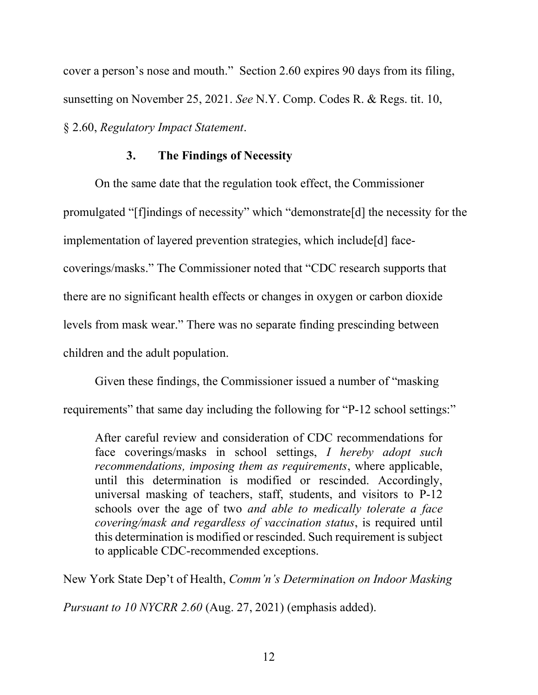cover a person's nose and mouth." Section 2.60 expires 90 days from its filing, sunsetting on November 25, 2021. See N.Y. Comp. Codes R. & Regs. tit. 10, § 2.60, Regulatory Impact Statement.

## 3. The Findings of Necessity

On the same date that the regulation took effect, the Commissioner promulgated "[f]indings of necessity" which "demonstrate[d] the necessity for the implementation of layered prevention strategies, which include[d] facecoverings/masks." The Commissioner noted that "CDC research supports that there are no significant health effects or changes in oxygen or carbon dioxide levels from mask wear." There was no separate finding prescinding between children and the adult population.

Given these findings, the Commissioner issued a number of "masking requirements" that same day including the following for "P-12 school settings:"

After careful review and consideration of CDC recommendations for face coverings/masks in school settings, *I hereby adopt such* recommendations, imposing them as requirements, where applicable, until this determination is modified or rescinded. Accordingly, universal masking of teachers, staff, students, and visitors to P-12 schools over the age of two *and able to medically tolerate a face* covering/mask and regardless of vaccination status, is required until this determination is modified or rescinded. Such requirement is subject to applicable CDC-recommended exceptions.

New York State Dep't of Health, Comm'n's Determination on Indoor Masking

Pursuant to 10 NYCRR 2.60 (Aug. 27, 2021) (emphasis added).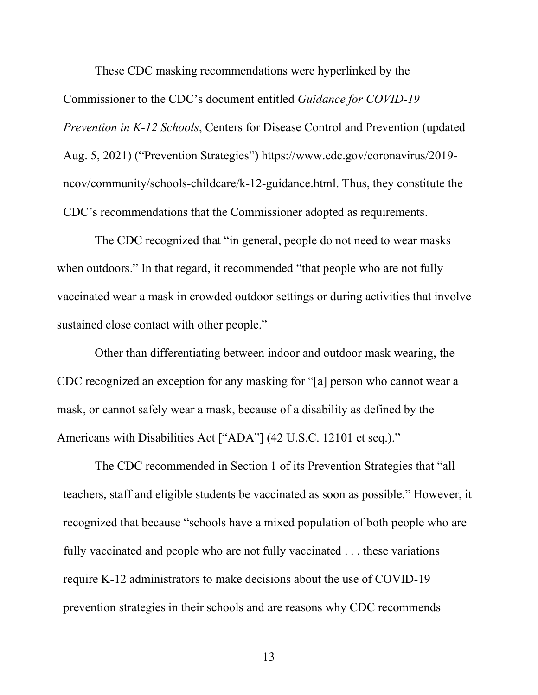These CDC masking recommendations were hyperlinked by the

Commissioner to the CDC's document entitled Guidance for COVID-19 Prevention in K-12 Schools, Centers for Disease Control and Prevention (updated Aug. 5, 2021) ("Prevention Strategies") https://www.cdc.gov/coronavirus/2019 ncov/community/schools-childcare/k-12-guidance.html. Thus, they constitute the CDC's recommendations that the Commissioner adopted as requirements.

 The CDC recognized that "in general, people do not need to wear masks when outdoors." In that regard, it recommended "that people who are not fully vaccinated wear a mask in crowded outdoor settings or during activities that involve sustained close contact with other people."

 Other than differentiating between indoor and outdoor mask wearing, the CDC recognized an exception for any masking for "[a] person who cannot wear a mask, or cannot safely wear a mask, because of a disability as defined by the Americans with Disabilities Act ["ADA"] (42 U.S.C. 12101 et seq.)."

 The CDC recommended in Section 1 of its Prevention Strategies that "all teachers, staff and eligible students be vaccinated as soon as possible." However, it recognized that because "schools have a mixed population of both people who are fully vaccinated and people who are not fully vaccinated . . . these variations require K-12 administrators to make decisions about the use of COVID-19 prevention strategies in their schools and are reasons why CDC recommends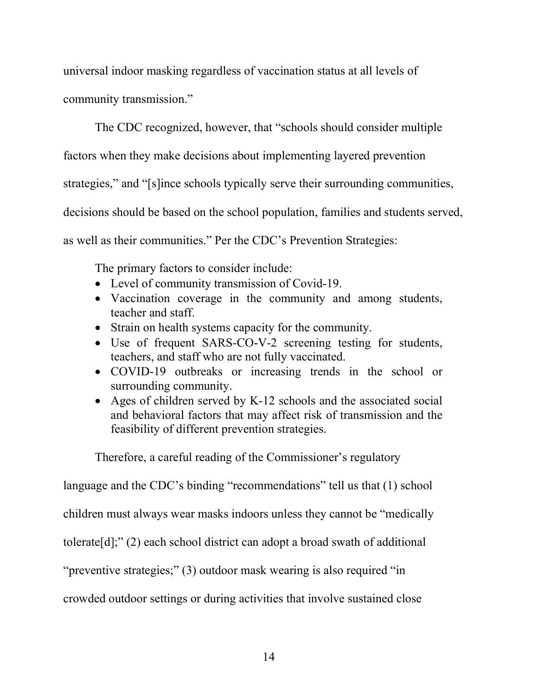universal indoor masking regardless of vaccination status at all levels of community transmission."

 The CDC recognized, however, that "schools should consider multiple factors when they make decisions about implementing layered prevention strategies," and "[s]ince schools typically serve their surrounding communities, decisions should be based on the school population, families and students served, as well as their communities." Per the CDC's Prevention Strategies:

The primary factors to consider include:

- Level of community transmission of Covid-19.
- Vaccination coverage in the community and among students, teacher and staff.
- Strain on health systems capacity for the community.
- Use of frequent SARS-CO-V-2 screening testing for students, teachers, and staff who are not fully vaccinated.
- COVID-19 outbreaks or increasing trends in the school or surrounding community.
- Ages of children served by K-12 schools and the associated social and behavioral factors that may affect risk of transmission and the feasibility of different prevention strategies.

Therefore, a careful reading of the Commissioner's regulatory

language and the CDC's binding "recommendations" tell us that (1) school

children must always wear masks indoors unless they cannot be "medically

tolerate[d];" (2) each school district can adopt a broad swath of additional

"preventive strategies;" (3) outdoor mask wearing is also required "in

crowded outdoor settings or during activities that involve sustained close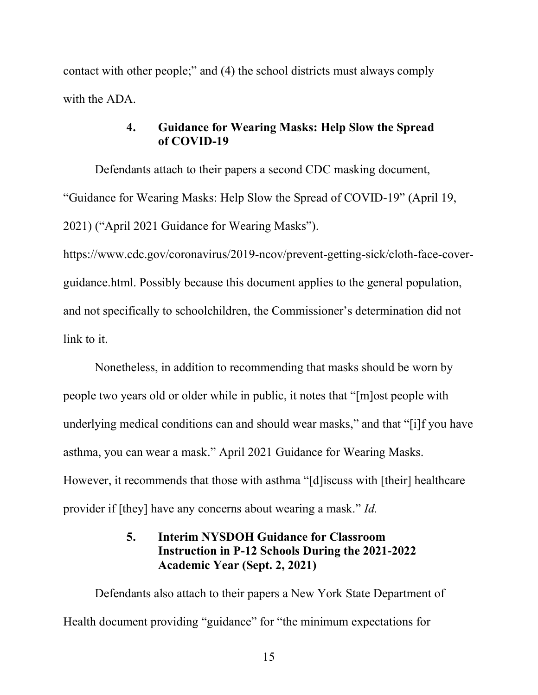contact with other people;" and (4) the school districts must always comply with the ADA.

## 4. Guidance for Wearing Masks: Help Slow the Spread of COVID-19

 Defendants attach to their papers a second CDC masking document, "Guidance for Wearing Masks: Help Slow the Spread of COVID-19" (April 19, 2021) ("April 2021 Guidance for Wearing Masks").

https://www.cdc.gov/coronavirus/2019-ncov/prevent-getting-sick/cloth-face-coverguidance.html. Possibly because this document applies to the general population, and not specifically to schoolchildren, the Commissioner's determination did not link to it.

 Nonetheless, in addition to recommending that masks should be worn by people two years old or older while in public, it notes that "[m]ost people with underlying medical conditions can and should wear masks," and that "[i]f you have asthma, you can wear a mask." April 2021 Guidance for Wearing Masks. However, it recommends that those with asthma "[d]iscuss with [their] healthcare provider if [they] have any concerns about wearing a mask." Id.

# 5. Interim NYSDOH Guidance for Classroom Instruction in P-12 Schools During the 2021-2022 Academic Year (Sept. 2, 2021)

 Defendants also attach to their papers a New York State Department of Health document providing "guidance" for "the minimum expectations for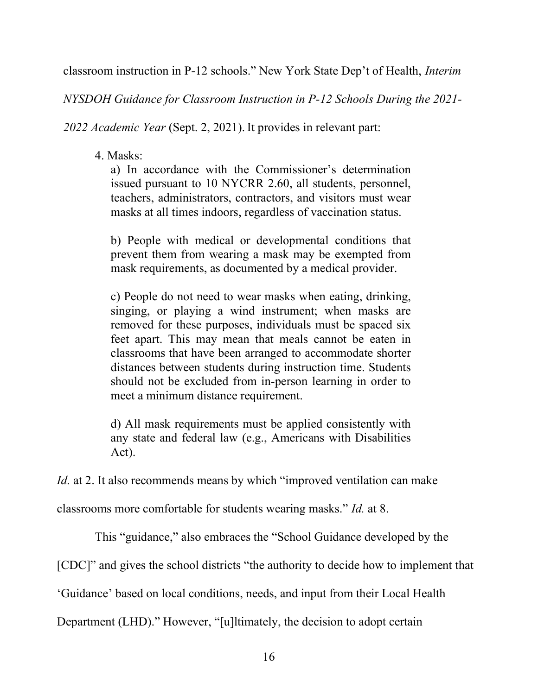classroom instruction in P-12 schools." New York State Dep't of Health, Interim

NYSDOH Guidance for Classroom Instruction in P-12 Schools During the 2021-

2022 Academic Year (Sept. 2, 2021). It provides in relevant part:

# 4. Masks:

a) In accordance with the Commissioner's determination issued pursuant to 10 NYCRR 2.60, all students, personnel, teachers, administrators, contractors, and visitors must wear masks at all times indoors, regardless of vaccination status.

b) People with medical or developmental conditions that prevent them from wearing a mask may be exempted from mask requirements, as documented by a medical provider.

c) People do not need to wear masks when eating, drinking, singing, or playing a wind instrument; when masks are removed for these purposes, individuals must be spaced six feet apart. This may mean that meals cannot be eaten in classrooms that have been arranged to accommodate shorter distances between students during instruction time. Students should not be excluded from in-person learning in order to meet a minimum distance requirement.

d) All mask requirements must be applied consistently with any state and federal law (e.g., Americans with Disabilities Act).

Id. at 2. It also recommends means by which "improved ventilation can make

classrooms more comfortable for students wearing masks." Id. at 8.

This "guidance," also embraces the "School Guidance developed by the

[CDC]" and gives the school districts "the authority to decide how to implement that

'Guidance' based on local conditions, needs, and input from their Local Health

Department (LHD)." However, "[u]ltimately, the decision to adopt certain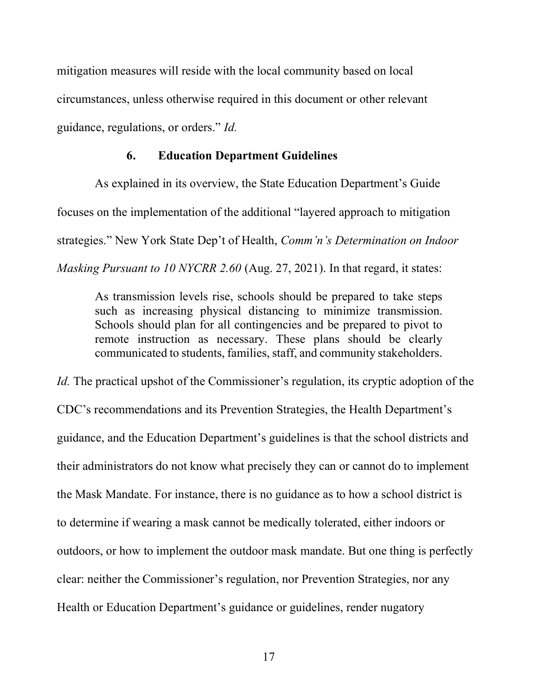mitigation measures will reside with the local community based on local circumstances, unless otherwise required in this document or other relevant guidance, regulations, or orders." Id.

### 6. Education Department Guidelines

 As explained in its overview, the State Education Department's Guide focuses on the implementation of the additional "layered approach to mitigation strategies." New York State Dep't of Health, Comm'n's Determination on Indoor Masking Pursuant to 10 NYCRR 2.60 (Aug. 27, 2021). In that regard, it states:

As transmission levels rise, schools should be prepared to take steps such as increasing physical distancing to minimize transmission. Schools should plan for all contingencies and be prepared to pivot to remote instruction as necessary. These plans should be clearly communicated to students, families, staff, and community stakeholders.

Id. The practical upshot of the Commissioner's regulation, its cryptic adoption of the CDC's recommendations and its Prevention Strategies, the Health Department's guidance, and the Education Department's guidelines is that the school districts and their administrators do not know what precisely they can or cannot do to implement the Mask Mandate. For instance, there is no guidance as to how a school district is to determine if wearing a mask cannot be medically tolerated, either indoors or outdoors, or how to implement the outdoor mask mandate. But one thing is perfectly clear: neither the Commissioner's regulation, nor Prevention Strategies, nor any Health or Education Department's guidance or guidelines, render nugatory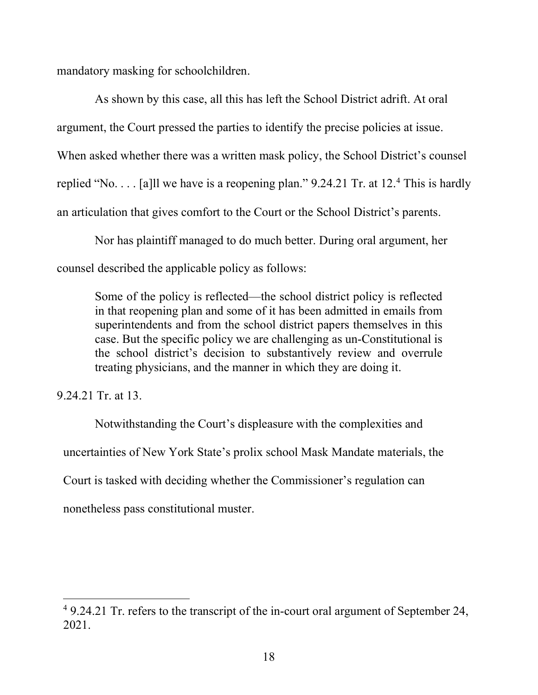mandatory masking for schoolchildren.

 As shown by this case, all this has left the School District adrift. At oral argument, the Court pressed the parties to identify the precise policies at issue. When asked whether there was a written mask policy, the School District's counsel replied "No.... [a]ll we have is a reopening plan."  $9.24.21$  Tr. at 12.4 This is hardly an articulation that gives comfort to the Court or the School District's parents.

 Nor has plaintiff managed to do much better. During oral argument, her counsel described the applicable policy as follows:

Some of the policy is reflected—the school district policy is reflected in that reopening plan and some of it has been admitted in emails from superintendents and from the school district papers themselves in this case. But the specific policy we are challenging as un-Constitutional is the school district's decision to substantively review and overrule treating physicians, and the manner in which they are doing it.

9.24.21 Tr. at 13.

 Notwithstanding the Court's displeasure with the complexities and uncertainties of New York State's prolix school Mask Mandate materials, the Court is tasked with deciding whether the Commissioner's regulation can nonetheless pass constitutional muster.

<sup>&</sup>lt;sup>4</sup> 9.24.21 Tr. refers to the transcript of the in-court oral argument of September 24, 2021.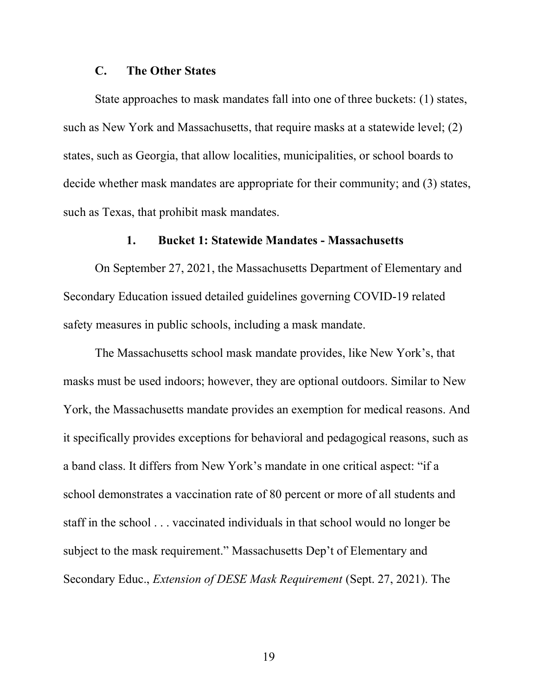#### C. The Other States

State approaches to mask mandates fall into one of three buckets: (1) states, such as New York and Massachusetts, that require masks at a statewide level; (2) states, such as Georgia, that allow localities, municipalities, or school boards to decide whether mask mandates are appropriate for their community; and (3) states, such as Texas, that prohibit mask mandates.

#### 1. Bucket 1: Statewide Mandates - Massachusetts

 On September 27, 2021, the Massachusetts Department of Elementary and Secondary Education issued detailed guidelines governing COVID-19 related safety measures in public schools, including a mask mandate.

The Massachusetts school mask mandate provides, like New York's, that masks must be used indoors; however, they are optional outdoors. Similar to New York, the Massachusetts mandate provides an exemption for medical reasons. And it specifically provides exceptions for behavioral and pedagogical reasons, such as a band class. It differs from New York's mandate in one critical aspect: "if a school demonstrates a vaccination rate of 80 percent or more of all students and staff in the school . . . vaccinated individuals in that school would no longer be subject to the mask requirement." Massachusetts Dep't of Elementary and Secondary Educ., Extension of DESE Mask Requirement (Sept. 27, 2021). The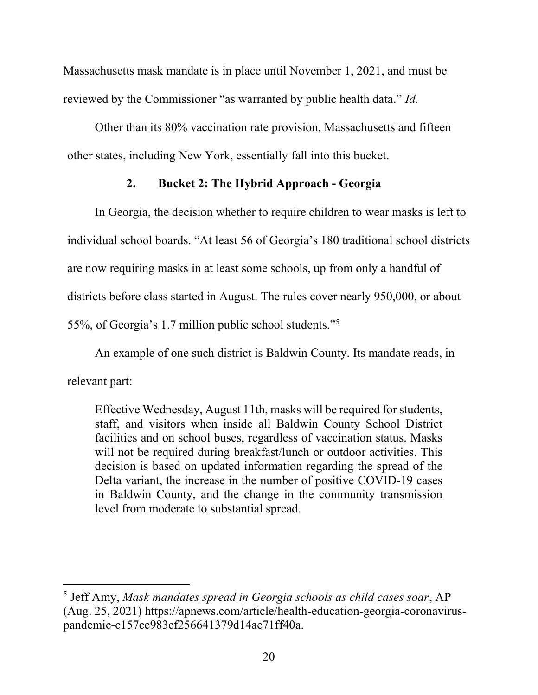Massachusetts mask mandate is in place until November 1, 2021, and must be reviewed by the Commissioner "as warranted by public health data." Id.

Other than its 80% vaccination rate provision, Massachusetts and fifteen other states, including New York, essentially fall into this bucket.

# 2. Bucket 2: The Hybrid Approach - Georgia

 In Georgia, the decision whether to require children to wear masks is left to individual school boards. "At least 56 of Georgia's 180 traditional school districts are now requiring masks in at least some schools, up from only a handful of districts before class started in August. The rules cover nearly 950,000, or about 55%, of Georgia's 1.7 million public school students."<sup>5</sup>

An example of one such district is Baldwin County. Its mandate reads, in

relevant part:

Effective Wednesday, August 11th, masks will be required for students, staff, and visitors when inside all Baldwin County School District facilities and on school buses, regardless of vaccination status. Masks will not be required during breakfast/lunch or outdoor activities. This decision is based on updated information regarding the spread of the Delta variant, the increase in the number of positive COVID-19 cases in Baldwin County, and the change in the community transmission level from moderate to substantial spread.

<sup>&</sup>lt;sup>5</sup> Jeff Amy, Mask mandates spread in Georgia schools as child cases soar, AP (Aug. 25, 2021) https://apnews.com/article/health-education-georgia-coronaviruspandemic-c157ce983cf256641379d14ae71ff40a.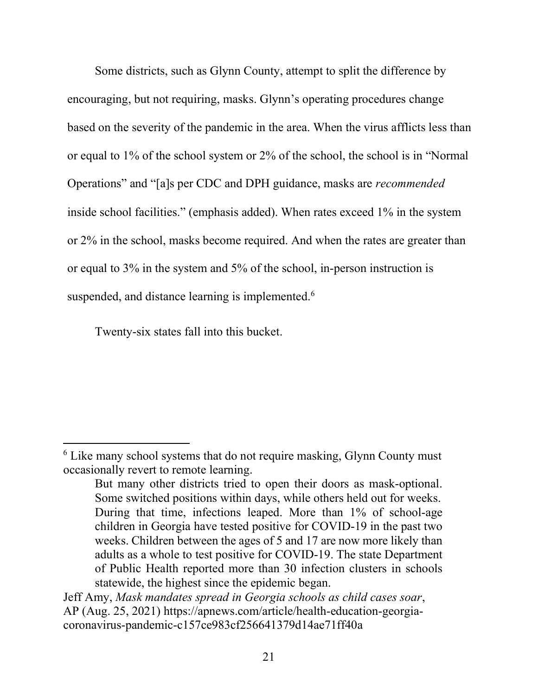Some districts, such as Glynn County, attempt to split the difference by encouraging, but not requiring, masks. Glynn's operating procedures change based on the severity of the pandemic in the area. When the virus afflicts less than or equal to 1% of the school system or 2% of the school, the school is in "Normal Operations" and "[a]s per CDC and DPH guidance, masks are recommended inside school facilities." (emphasis added). When rates exceed 1% in the system or 2% in the school, masks become required. And when the rates are greater than or equal to 3% in the system and 5% of the school, in-person instruction is suspended, and distance learning is implemented.<sup>6</sup>

Twenty-six states fall into this bucket.

<sup>&</sup>lt;sup>6</sup> Like many school systems that do not require masking, Glynn County must occasionally revert to remote learning.

But many other districts tried to open their doors as mask-optional. Some switched positions within days, while others held out for weeks. During that time, infections leaped. More than 1% of school-age children in Georgia have tested positive for COVID-19 in the past two weeks. Children between the ages of 5 and 17 are now more likely than adults as a whole to test positive for COVID-19. The state Department of Public Health reported more than 30 infection clusters in schools statewide, the highest since the epidemic began.

Jeff Amy, Mask mandates spread in Georgia schools as child cases soar, AP (Aug. 25, 2021) https://apnews.com/article/health-education-georgiacoronavirus-pandemic-c157ce983cf256641379d14ae71ff40a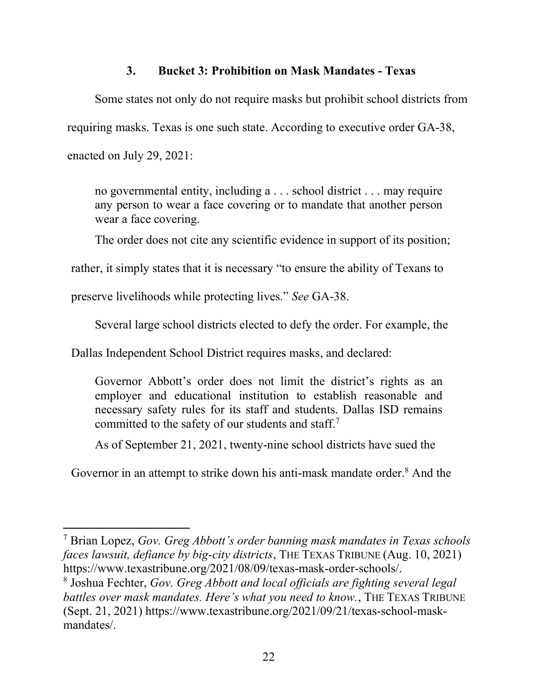## 3. Bucket 3: Prohibition on Mask Mandates - Texas

 Some states not only do not require masks but prohibit school districts from requiring masks. Texas is one such state. According to executive order GA-38, enacted on July 29, 2021:

no governmental entity, including a . . . school district . . . may require any person to wear a face covering or to mandate that another person wear a face covering.

The order does not cite any scientific evidence in support of its position;

rather, it simply states that it is necessary "to ensure the ability of Texans to

preserve livelihoods while protecting lives." See GA-38.

Several large school districts elected to defy the order. For example, the

Dallas Independent School District requires masks, and declared:

Governor Abbott's order does not limit the district's rights as an employer and educational institution to establish reasonable and necessary safety rules for its staff and students. Dallas ISD remains committed to the safety of our students and staff.<sup>7</sup>

As of September 21, 2021, twenty-nine school districts have sued the

Governor in an attempt to strike down his anti-mask mandate order.<sup>8</sup> And the

<sup>8</sup> Joshua Fechter, Gov. Greg Abbott and local officials are fighting several legal battles over mask mandates. Here's what you need to know., THE TEXAS TRIBUNE (Sept. 21, 2021) https://www.texastribune.org/2021/09/21/texas-school-maskmandates/.

<sup>&</sup>lt;sup>7</sup> Brian Lopez, Gov. Greg Abbott's order banning mask mandates in Texas schools faces lawsuit, defiance by big-city districts, THE TEXAS TRIBUNE (Aug. 10, 2021) https://www.texastribune.org/2021/08/09/texas-mask-order-schools/.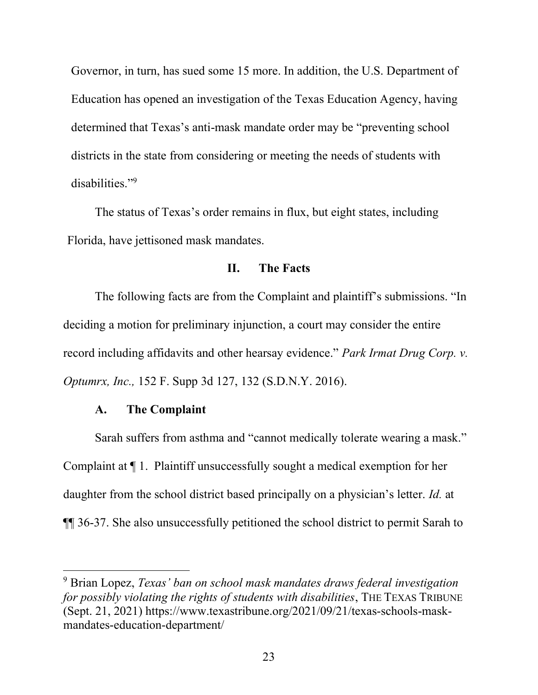Governor, in turn, has sued some 15 more. In addition, the U.S. Department of Education has opened an investigation of the Texas Education Agency, having determined that Texas's anti-mask mandate order may be "preventing school districts in the state from considering or meeting the needs of students with disabilities."<sup>9</sup>

The status of Texas's order remains in flux, but eight states, including Florida, have jettisoned mask mandates.

### II. The Facts

 The following facts are from the Complaint and plaintiff's submissions. "In deciding a motion for preliminary injunction, a court may consider the entire record including affidavits and other hearsay evidence." Park Irmat Drug Corp. v. Optumrx, Inc., 152 F. Supp 3d 127, 132 (S.D.N.Y. 2016).

#### A. The Complaint

Sarah suffers from asthma and "cannot medically tolerate wearing a mask." Complaint at ¶ 1. Plaintiff unsuccessfully sought a medical exemption for her daughter from the school district based principally on a physician's letter. *Id.* at ¶¶ 36-37. She also unsuccessfully petitioned the school district to permit Sarah to

<sup>&</sup>lt;sup>9</sup> Brian Lopez, Texas' ban on school mask mandates draws federal investigation for possibly violating the rights of students with disabilities, THE TEXAS TRIBUNE (Sept. 21, 2021) https://www.texastribune.org/2021/09/21/texas-schools-maskmandates-education-department/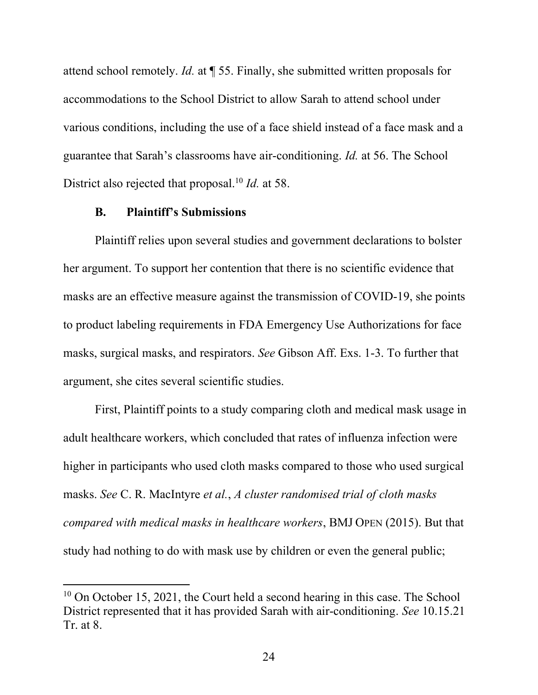attend school remotely. Id. at ¶ 55. Finally, she submitted written proposals for accommodations to the School District to allow Sarah to attend school under various conditions, including the use of a face shield instead of a face mask and a guarantee that Sarah's classrooms have air-conditioning. Id. at 56. The School District also rejected that proposal.<sup>10</sup> Id. at 58.

### B. Plaintiff's Submissions

Plaintiff relies upon several studies and government declarations to bolster her argument. To support her contention that there is no scientific evidence that masks are an effective measure against the transmission of COVID-19, she points to product labeling requirements in FDA Emergency Use Authorizations for face masks, surgical masks, and respirators. See Gibson Aff. Exs. 1-3. To further that argument, she cites several scientific studies.

First, Plaintiff points to a study comparing cloth and medical mask usage in adult healthcare workers, which concluded that rates of influenza infection were higher in participants who used cloth masks compared to those who used surgical masks. See C. R. MacIntyre et al., A cluster randomised trial of cloth masks compared with medical masks in healthcare workers, BMJ OPEN (2015). But that study had nothing to do with mask use by children or even the general public;

<sup>&</sup>lt;sup>10</sup> On October 15, 2021, the Court held a second hearing in this case. The School District represented that it has provided Sarah with air-conditioning. See 10.15.21 Tr. at 8.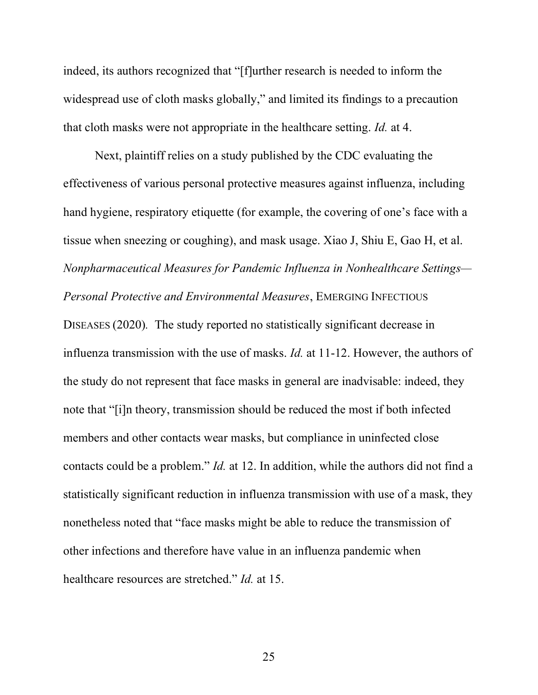indeed, its authors recognized that "[f]urther research is needed to inform the widespread use of cloth masks globally," and limited its findings to a precaution that cloth masks were not appropriate in the healthcare setting. Id. at 4.

Next, plaintiff relies on a study published by the CDC evaluating the effectiveness of various personal protective measures against influenza, including hand hygiene, respiratory etiquette (for example, the covering of one's face with a tissue when sneezing or coughing), and mask usage. Xiao J, Shiu E, Gao H, et al. Nonpharmaceutical Measures for Pandemic Influenza in Nonhealthcare Settings— Personal Protective and Environmental Measures, EMERGING INFECTIOUS DISEASES (2020). The study reported no statistically significant decrease in influenza transmission with the use of masks. Id. at 11-12. However, the authors of the study do not represent that face masks in general are inadvisable: indeed, they note that "[i]n theory, transmission should be reduced the most if both infected members and other contacts wear masks, but compliance in uninfected close contacts could be a problem." Id. at 12. In addition, while the authors did not find a statistically significant reduction in influenza transmission with use of a mask, they nonetheless noted that "face masks might be able to reduce the transmission of other infections and therefore have value in an influenza pandemic when healthcare resources are stretched." Id. at 15.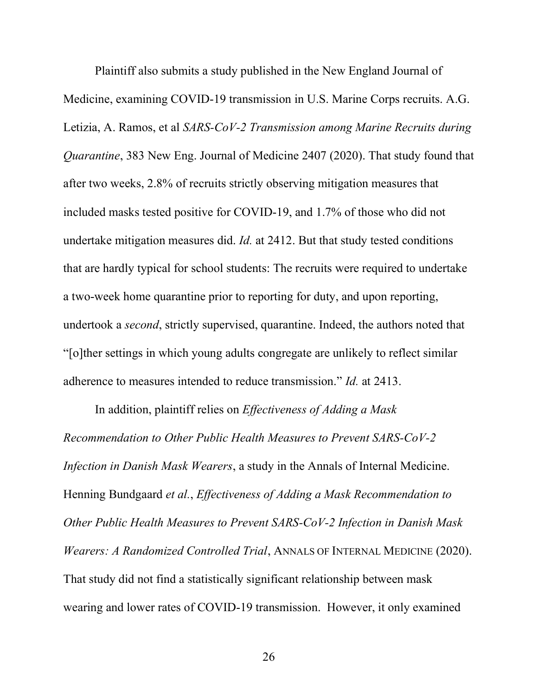Plaintiff also submits a study published in the New England Journal of Medicine, examining COVID-19 transmission in U.S. Marine Corps recruits. A.G. Letizia, A. Ramos, et al SARS-CoV-2 Transmission among Marine Recruits during Quarantine, 383 New Eng. Journal of Medicine 2407 (2020). That study found that after two weeks, 2.8% of recruits strictly observing mitigation measures that included masks tested positive for COVID-19, and 1.7% of those who did not undertake mitigation measures did. Id. at 2412. But that study tested conditions that are hardly typical for school students: The recruits were required to undertake a two-week home quarantine prior to reporting for duty, and upon reporting, undertook a second, strictly supervised, quarantine. Indeed, the authors noted that "[o]ther settings in which young adults congregate are unlikely to reflect similar adherence to measures intended to reduce transmission." Id. at 2413.

In addition, plaintiff relies on *Effectiveness of Adding a Mask* Recommendation to Other Public Health Measures to Prevent SARS-CoV-2 Infection in Danish Mask Wearers, a study in the Annals of Internal Medicine. Henning Bundgaard et al., Effectiveness of Adding a Mask Recommendation to Other Public Health Measures to Prevent SARS-CoV-2 Infection in Danish Mask Wearers: A Randomized Controlled Trial, ANNALS OF INTERNAL MEDICINE (2020). That study did not find a statistically significant relationship between mask wearing and lower rates of COVID-19 transmission. However, it only examined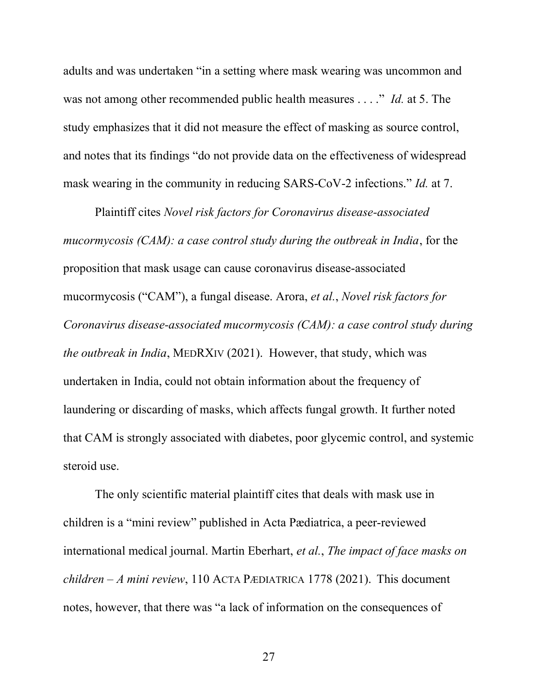adults and was undertaken "in a setting where mask wearing was uncommon and was not among other recommended public health measures . . . ." Id. at 5. The study emphasizes that it did not measure the effect of masking as source control, and notes that its findings "do not provide data on the effectiveness of widespread mask wearing in the community in reducing SARS-CoV-2 infections." *Id.* at 7.

Plaintiff cites Novel risk factors for Coronavirus disease-associated mucormycosis (CAM): a case control study during the outbreak in India, for the proposition that mask usage can cause coronavirus disease-associated mucormycosis ("CAM"), a fungal disease. Arora, et al., Novel risk factors for Coronavirus disease-associated mucormycosis (CAM): a case control study during the outbreak in India, MEDRXIV (2021). However, that study, which was undertaken in India, could not obtain information about the frequency of laundering or discarding of masks, which affects fungal growth. It further noted that CAM is strongly associated with diabetes, poor glycemic control, and systemic steroid use.

The only scientific material plaintiff cites that deals with mask use in children is a "mini review" published in Acta Pædiatrica, a peer-reviewed international medical journal. Martin Eberhart, et al., The impact of face masks on children – A mini review, 110 ACTA PÆDIATRICA 1778 (2021). This document notes, however, that there was "a lack of information on the consequences of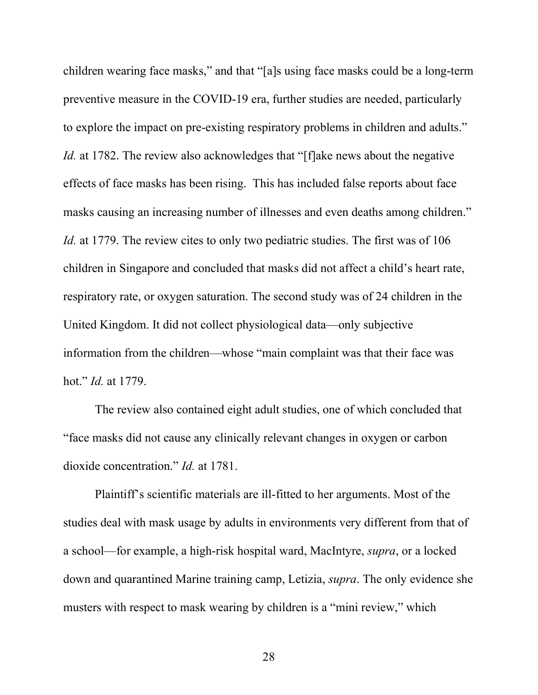children wearing face masks," and that "[a]s using face masks could be a long-term preventive measure in the COVID-19 era, further studies are needed, particularly to explore the impact on pre-existing respiratory problems in children and adults." Id. at 1782. The review also acknowledges that "[f]ake news about the negative effects of face masks has been rising. This has included false reports about face masks causing an increasing number of illnesses and even deaths among children." Id. at 1779. The review cites to only two pediatric studies. The first was of 106 children in Singapore and concluded that masks did not affect a child's heart rate, respiratory rate, or oxygen saturation. The second study was of 24 children in the United Kingdom. It did not collect physiological data—only subjective information from the children—whose "main complaint was that their face was hot." Id. at 1779.

The review also contained eight adult studies, one of which concluded that "face masks did not cause any clinically relevant changes in oxygen or carbon dioxide concentration." Id. at 1781.

Plaintiff's scientific materials are ill-fitted to her arguments. Most of the studies deal with mask usage by adults in environments very different from that of a school—for example, a high-risk hospital ward, MacIntyre, supra, or a locked down and quarantined Marine training camp, Letizia, supra. The only evidence she musters with respect to mask wearing by children is a "mini review," which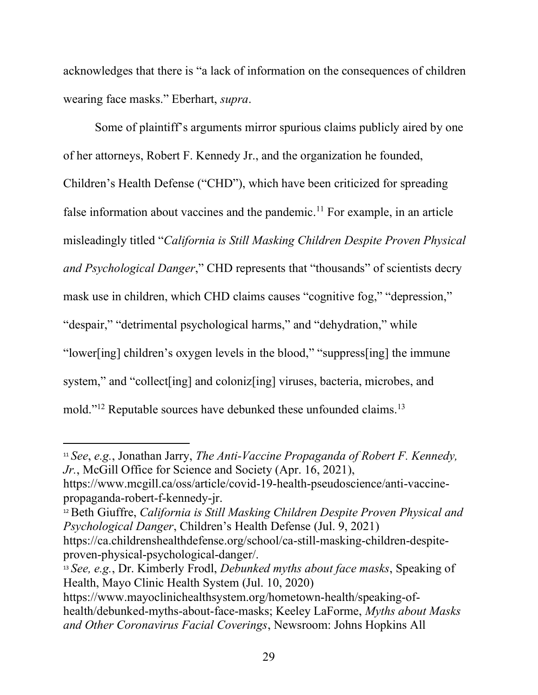acknowledges that there is "a lack of information on the consequences of children wearing face masks." Eberhart, supra.

Some of plaintiff's arguments mirror spurious claims publicly aired by one of her attorneys, Robert F. Kennedy Jr., and the organization he founded, Children's Health Defense ("CHD"), which have been criticized for spreading false information about vaccines and the pandemic.<sup>11</sup> For example, in an article misleadingly titled "California is Still Masking Children Despite Proven Physical and Psychological Danger," CHD represents that "thousands" of scientists decry mask use in children, which CHD claims causes "cognitive fog," "depression," "despair," "detrimental psychological harms," and "dehydration," while "lower[ing] children's oxygen levels in the blood," "suppress[ing] the immune system," and "collect [ing] and coloniz [ing] viruses, bacteria, microbes, and mold."<sup>12</sup> Reputable sources have debunked these unfounded claims.<sup>13</sup>

<sup>&</sup>lt;sup>11</sup> See, e.g., Jonathan Jarry, *The Anti-Vaccine Propaganda of Robert F. Kennedy*, Jr., McGill Office for Science and Society (Apr. 16, 2021),

https://www.mcgill.ca/oss/article/covid-19-health-pseudoscience/anti-vaccinepropaganda-robert-f-kennedy-jr.

<sup>&</sup>lt;sup>12</sup> Beth Giuffre, California is Still Masking Children Despite Proven Physical and Psychological Danger, Children's Health Defense (Jul. 9, 2021)

https://ca.childrenshealthdefense.org/school/ca-still-masking-children-despiteproven-physical-psychological-danger/.

 $13$  See, e.g., Dr. Kimberly Frodl, *Debunked myths about face masks*, Speaking of Health, Mayo Clinic Health System (Jul. 10, 2020)

https://www.mayoclinichealthsystem.org/hometown-health/speaking-ofhealth/debunked-myths-about-face-masks; Keeley LaForme, Myths about Masks and Other Coronavirus Facial Coverings, Newsroom: Johns Hopkins All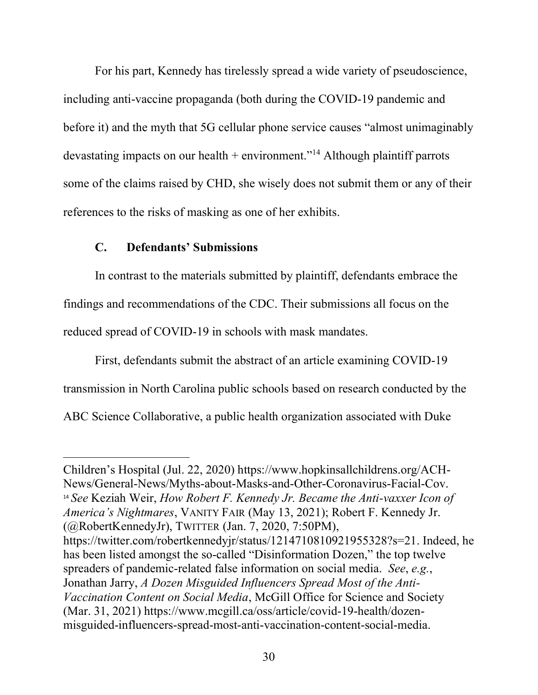For his part, Kennedy has tirelessly spread a wide variety of pseudoscience, including anti-vaccine propaganda (both during the COVID-19 pandemic and before it) and the myth that 5G cellular phone service causes "almost unimaginably devastating impacts on our health  $+$  environment."<sup>14</sup> Although plaintiff parrots some of the claims raised by CHD, she wisely does not submit them or any of their references to the risks of masking as one of her exhibits.

## C. Defendants' Submissions

In contrast to the materials submitted by plaintiff, defendants embrace the findings and recommendations of the CDC. Their submissions all focus on the reduced spread of COVID-19 in schools with mask mandates.

First, defendants submit the abstract of an article examining COVID-19 transmission in North Carolina public schools based on research conducted by the ABC Science Collaborative, a public health organization associated with Duke

Children's Hospital (Jul. 22, 2020) https://www.hopkinsallchildrens.org/ACH-News/General-News/Myths-about-Masks-and-Other-Coronavirus-Facial-Cov.  $14$  See Keziah Weir, How Robert F. Kennedy Jr. Became the Anti-vaxxer Icon of America's Nightmares, VANITY FAIR (May 13, 2021); Robert F. Kennedy Jr. (@RobertKennedyJr), TWITTER (Jan. 7, 2020, 7:50PM), https://twitter.com/robertkennedyjr/status/1214710810921955328?s=21. Indeed, he has been listed amongst the so-called "Disinformation Dozen," the top twelve spreaders of pandemic-related false information on social media. See, e.g., Jonathan Jarry, A Dozen Misguided Influencers Spread Most of the Anti-Vaccination Content on Social Media, McGill Office for Science and Society (Mar. 31, 2021) https://www.mcgill.ca/oss/article/covid-19-health/dozenmisguided-influencers-spread-most-anti-vaccination-content-social-media.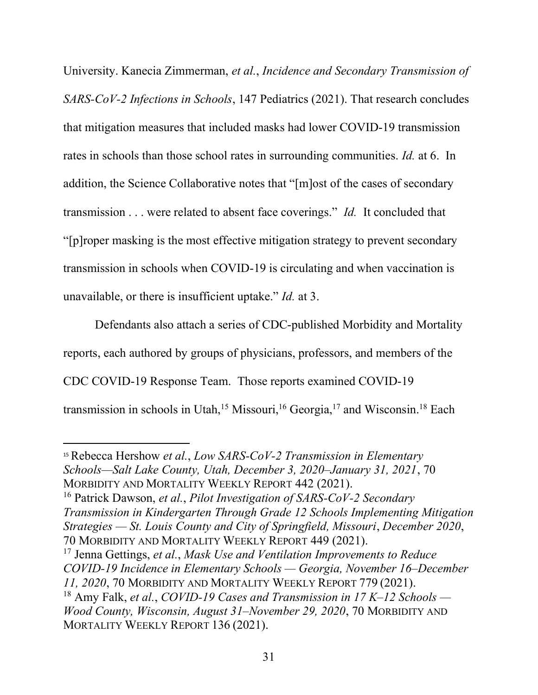University. Kanecia Zimmerman, et al., Incidence and Secondary Transmission of SARS-CoV-2 Infections in Schools, 147 Pediatrics (2021). That research concludes that mitigation measures that included masks had lower COVID-19 transmission rates in schools than those school rates in surrounding communities. Id. at 6. In addition, the Science Collaborative notes that "[m]ost of the cases of secondary transmission . . . were related to absent face coverings." Id. It concluded that "[p]roper masking is the most effective mitigation strategy to prevent secondary transmission in schools when COVID-19 is circulating and when vaccination is unavailable, or there is insufficient uptake." Id. at 3.

Defendants also attach a series of CDC-published Morbidity and Mortality reports, each authored by groups of physicians, professors, and members of the CDC COVID-19 Response Team. Those reports examined COVID-19 transmission in schools in Utah,<sup>15</sup> Missouri,<sup>16</sup> Georgia,<sup>17</sup> and Wisconsin.<sup>18</sup> Each

<sup>17</sup> Jenna Gettings, *et al., Mask Use and Ventilation Improvements to Reduce* COVID-19 Incidence in Elementary Schools — Georgia, November 16–December 11, 2020, 70 MORBIDITY AND MORTALITY WEEKLY REPORT 779 (2021). <sup>18</sup> Amy Falk, et al., COVID-19 Cases and Transmission in 17 K–12 Schools —

 $15$  Rebecca Hershow et al., Low SARS-CoV-2 Transmission in Elementary Schools—Salt Lake County, Utah, December 3, 2020–January 31, 2021, 70 MORBIDITY AND MORTALITY WEEKLY REPORT 442 (2021).

<sup>&</sup>lt;sup>16</sup> Patrick Dawson, et al., Pilot Investigation of SARS-CoV-2 Secondary Transmission in Kindergarten Through Grade 12 Schools Implementing Mitigation Strategies — St. Louis County and City of Springfield, Missouri, December 2020, 70 MORBIDITY AND MORTALITY WEEKLY REPORT 449 (2021).

Wood County, Wisconsin, August 31–November 29, 2020, 70 MORBIDITY AND MORTALITY WEEKLY REPORT 136 (2021).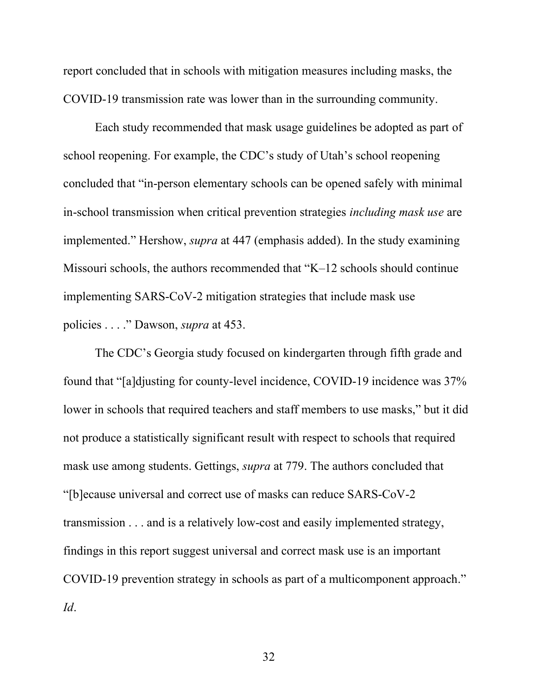report concluded that in schools with mitigation measures including masks, the COVID-19 transmission rate was lower than in the surrounding community.

Each study recommended that mask usage guidelines be adopted as part of school reopening. For example, the CDC's study of Utah's school reopening concluded that "in-person elementary schools can be opened safely with minimal in-school transmission when critical prevention strategies including mask use are implemented." Hershow, *supra* at 447 (emphasis added). In the study examining Missouri schools, the authors recommended that "K–12 schools should continue implementing SARS-CoV-2 mitigation strategies that include mask use policies . . . ." Dawson, supra at 453.

The CDC's Georgia study focused on kindergarten through fifth grade and found that "[a]djusting for county-level incidence, COVID-19 incidence was 37% lower in schools that required teachers and staff members to use masks," but it did not produce a statistically significant result with respect to schools that required mask use among students. Gettings, *supra* at 779. The authors concluded that "[b]ecause universal and correct use of masks can reduce SARS-CoV-2 transmission . . . and is a relatively low-cost and easily implemented strategy, findings in this report suggest universal and correct mask use is an important COVID-19 prevention strategy in schools as part of a multicomponent approach." Id.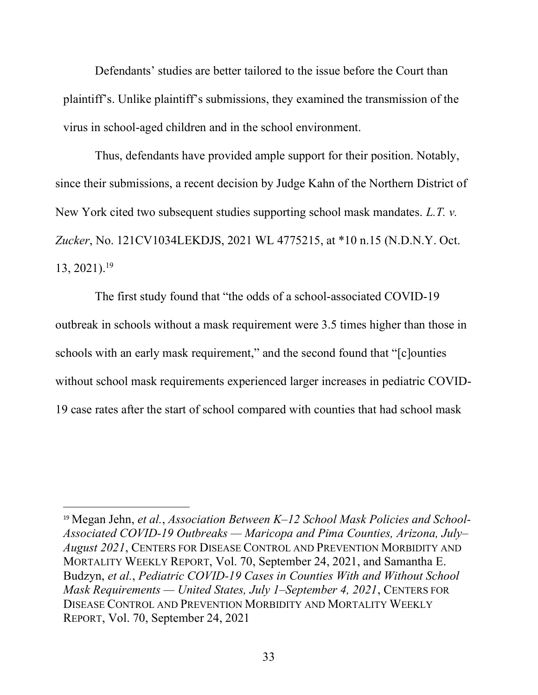Defendants' studies are better tailored to the issue before the Court than plaintiff's. Unlike plaintiff's submissions, they examined the transmission of the virus in school-aged children and in the school environment.

Thus, defendants have provided ample support for their position. Notably, since their submissions, a recent decision by Judge Kahn of the Northern District of New York cited two subsequent studies supporting school mask mandates. L.T. v. Zucker, No. 121CV1034LEKDJS, 2021 WL 4775215, at \*10 n.15 (N.D.N.Y. Oct.  $13, 2021$ ).<sup>19</sup>

The first study found that "the odds of a school-associated COVID-19 outbreak in schools without a mask requirement were 3.5 times higher than those in schools with an early mask requirement," and the second found that "[c]ounties without school mask requirements experienced larger increases in pediatric COVID-19 case rates after the start of school compared with counties that had school mask

<sup>&</sup>lt;sup>19</sup> Megan Jehn, et al., Association Between  $K-12$  School Mask Policies and School-Associated COVID-19 Outbreaks — Maricopa and Pima Counties, Arizona, July– August 2021, CENTERS FOR DISEASE CONTROL AND PREVENTION MORBIDITY AND MORTALITY WEEKLY REPORT, Vol. 70, September 24, 2021, and Samantha E. Budzyn, et al., Pediatric COVID-19 Cases in Counties With and Without School Mask Requirements — United States, July 1–September 4, 2021, CENTERS FOR DISEASE CONTROL AND PREVENTION MORBIDITY AND MORTALITY WEEKLY REPORT, Vol. 70, September 24, 2021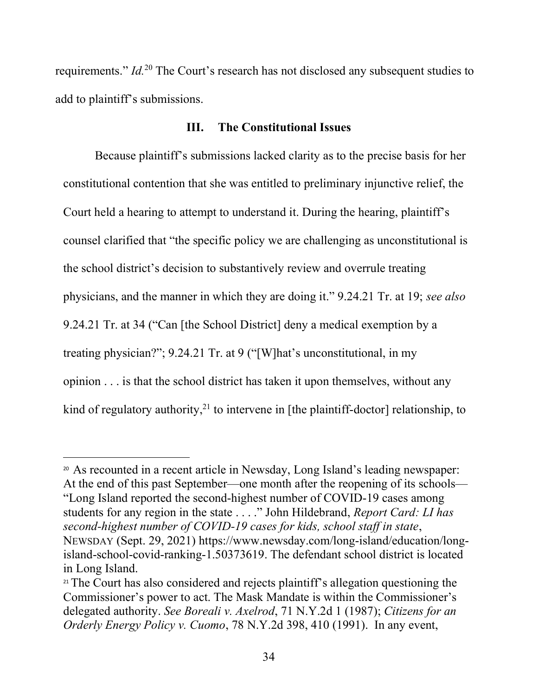requirements."  $Id<sup>20</sup>$  The Court's research has not disclosed any subsequent studies to add to plaintiff's submissions.

## III. The Constitutional Issues

Because plaintiff's submissions lacked clarity as to the precise basis for her constitutional contention that she was entitled to preliminary injunctive relief, the Court held a hearing to attempt to understand it. During the hearing, plaintiff's counsel clarified that "the specific policy we are challenging as unconstitutional is the school district's decision to substantively review and overrule treating physicians, and the manner in which they are doing it." 9.24.21 Tr. at 19; see also 9.24.21 Tr. at 34 ("Can [the School District] deny a medical exemption by a treating physician?"; 9.24.21 Tr. at 9 ("[W]hat's unconstitutional, in my opinion . . . is that the school district has taken it upon themselves, without any kind of regulatory authority,<sup>21</sup> to intervene in [the plaintiff-doctor] relationship, to

<sup>20</sup> As recounted in a recent article in Newsday, Long Island's leading newspaper: At the end of this past September—one month after the reopening of its schools— "Long Island reported the second-highest number of COVID-19 cases among students for any region in the state . . . ." John Hildebrand, Report Card: LI has second-highest number of COVID-19 cases for kids, school staff in state, NEWSDAY (Sept. 29, 2021) https://www.newsday.com/long-island/education/longisland-school-covid-ranking-1.50373619. The defendant school district is located in Long Island.

<sup>&</sup>lt;sup>21</sup> The Court has also considered and rejects plaintiff's allegation questioning the Commissioner's power to act. The Mask Mandate is within the Commissioner's delegated authority. See Boreali v. Axelrod, 71 N.Y.2d 1 (1987); Citizens for an Orderly Energy Policy v. Cuomo, 78 N.Y.2d 398, 410 (1991). In any event,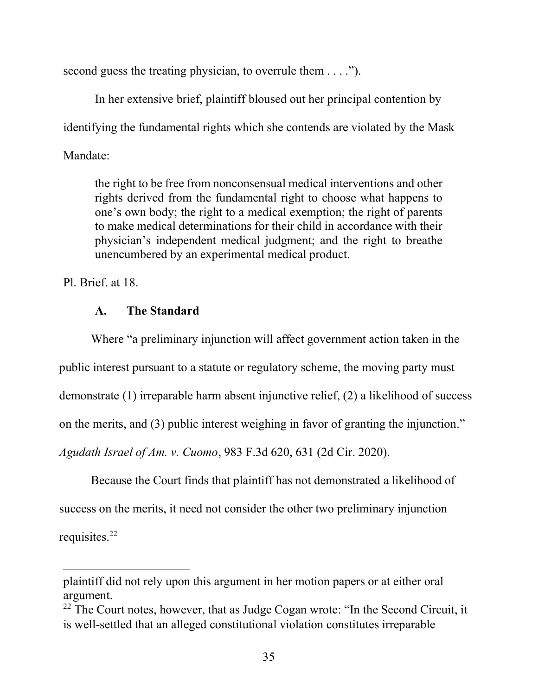second guess the treating physician, to overrule them . . . .").

 In her extensive brief, plaintiff bloused out her principal contention by identifying the fundamental rights which she contends are violated by the Mask Mandate:

the right to be free from nonconsensual medical interventions and other rights derived from the fundamental right to choose what happens to one's own body; the right to a medical exemption; the right of parents to make medical determinations for their child in accordance with their physician's independent medical judgment; and the right to breathe unencumbered by an experimental medical product.

Pl. Brief. at 18.

# A. The Standard

Where "a preliminary injunction will affect government action taken in the public interest pursuant to a statute or regulatory scheme, the moving party must demonstrate (1) irreparable harm absent injunctive relief, (2) a likelihood of success on the merits, and (3) public interest weighing in favor of granting the injunction." Agudath Israel of Am. v. Cuomo, 983 F.3d 620, 631 (2d Cir. 2020).

Because the Court finds that plaintiff has not demonstrated a likelihood of success on the merits, it need not consider the other two preliminary injunction requisites.<sup>22</sup>

plaintiff did not rely upon this argument in her motion papers or at either oral argument.

 $22$  The Court notes, however, that as Judge Cogan wrote: "In the Second Circuit, it is well-settled that an alleged constitutional violation constitutes irreparable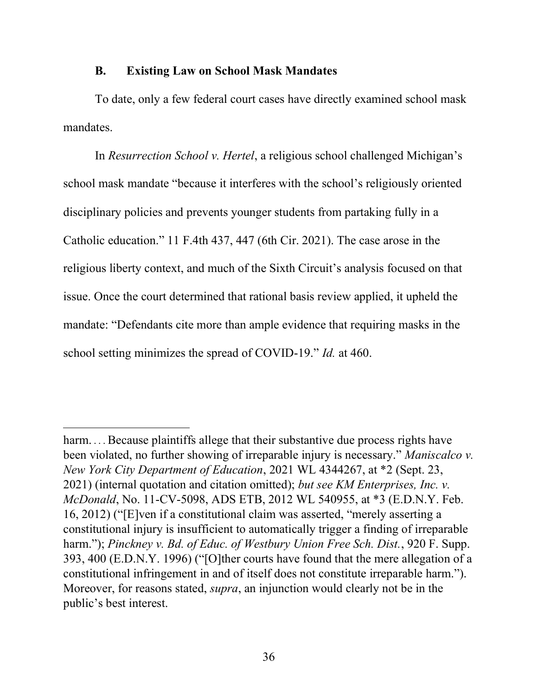#### B. Existing Law on School Mask Mandates

To date, only a few federal court cases have directly examined school mask mandates.

In Resurrection School v. Hertel, a religious school challenged Michigan's school mask mandate "because it interferes with the school's religiously oriented disciplinary policies and prevents younger students from partaking fully in a Catholic education." 11 F.4th 437, 447 (6th Cir. 2021). The case arose in the religious liberty context, and much of the Sixth Circuit's analysis focused on that issue. Once the court determined that rational basis review applied, it upheld the mandate: "Defendants cite more than ample evidence that requiring masks in the school setting minimizes the spread of COVID-19." *Id.* at 460.

harm.... Because plaintiffs allege that their substantive due process rights have been violated, no further showing of irreparable injury is necessary." Maniscalco v. New York City Department of Education, 2021 WL 4344267, at \*2 (Sept. 23, 2021) (internal quotation and citation omitted); but see KM Enterprises, Inc. v. McDonald, No. 11-CV-5098, ADS ETB, 2012 WL 540955, at \*3 (E.D.N.Y. Feb. 16, 2012) ("[E]ven if a constitutional claim was asserted, "merely asserting a constitutional injury is insufficient to automatically trigger a finding of irreparable harm."); Pinckney v. Bd. of Educ. of Westbury Union Free Sch. Dist., 920 F. Supp. 393, 400 (E.D.N.Y. 1996) ("[O]ther courts have found that the mere allegation of a constitutional infringement in and of itself does not constitute irreparable harm."). Moreover, for reasons stated, supra, an injunction would clearly not be in the public's best interest.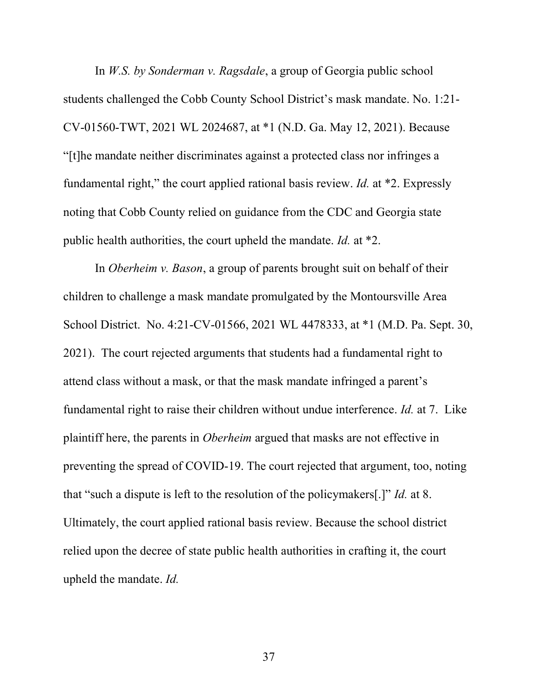In W.S. by Sonderman v. Ragsdale, a group of Georgia public school students challenged the Cobb County School District's mask mandate. No. 1:21- CV-01560-TWT, 2021 WL 2024687, at \*1 (N.D. Ga. May 12, 2021). Because "[t]he mandate neither discriminates against a protected class nor infringes a fundamental right," the court applied rational basis review. *Id.* at  $*2$ . Expressly noting that Cobb County relied on guidance from the CDC and Georgia state public health authorities, the court upheld the mandate. Id. at \*2.

In Oberheim v. Bason, a group of parents brought suit on behalf of their children to challenge a mask mandate promulgated by the Montoursville Area School District. No. 4:21-CV-01566, 2021 WL 4478333, at \*1 (M.D. Pa. Sept. 30, 2021). The court rejected arguments that students had a fundamental right to attend class without a mask, or that the mask mandate infringed a parent's fundamental right to raise their children without undue interference. Id. at 7. Like plaintiff here, the parents in Oberheim argued that masks are not effective in preventing the spread of COVID-19. The court rejected that argument, too, noting that "such a dispute is left to the resolution of the policymakers[.]" Id. at 8. Ultimately, the court applied rational basis review. Because the school district relied upon the decree of state public health authorities in crafting it, the court upheld the mandate. Id.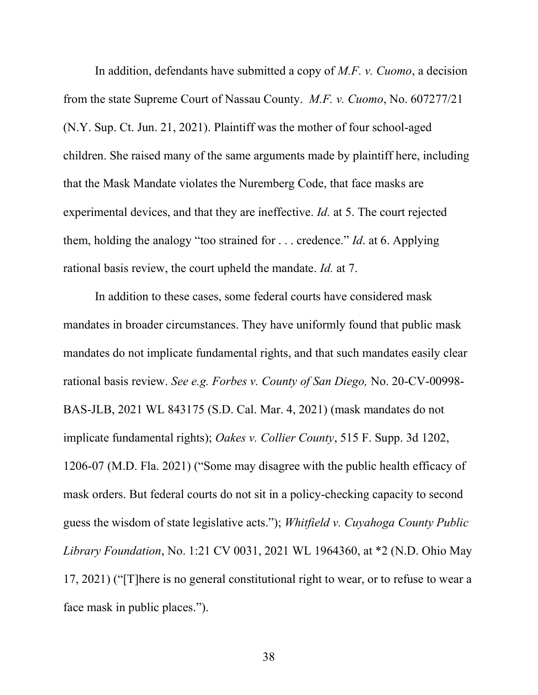In addition, defendants have submitted a copy of M.F. v. Cuomo, a decision from the state Supreme Court of Nassau County. M.F. v. Cuomo, No. 607277/21 (N.Y. Sup. Ct. Jun. 21, 2021). Plaintiff was the mother of four school-aged children. She raised many of the same arguments made by plaintiff here, including that the Mask Mandate violates the Nuremberg Code, that face masks are experimental devices, and that they are ineffective. Id. at 5. The court rejected them, holding the analogy "too strained for  $\dots$  credence." *Id.* at 6. Applying rational basis review, the court upheld the mandate. Id. at 7.

 In addition to these cases, some federal courts have considered mask mandates in broader circumstances. They have uniformly found that public mask mandates do not implicate fundamental rights, and that such mandates easily clear rational basis review. See e.g. Forbes v. County of San Diego, No. 20-CV-00998- BAS-JLB, 2021 WL 843175 (S.D. Cal. Mar. 4, 2021) (mask mandates do not implicate fundamental rights); Oakes v. Collier County, 515 F. Supp. 3d 1202, 1206-07 (M.D. Fla. 2021) ("Some may disagree with the public health efficacy of mask orders. But federal courts do not sit in a policy-checking capacity to second guess the wisdom of state legislative acts."); Whitfield v. Cuyahoga County Public Library Foundation, No. 1:21 CV 0031, 2021 WL 1964360, at \*2 (N.D. Ohio May 17, 2021) ("[T]here is no general constitutional right to wear, or to refuse to wear a face mask in public places.").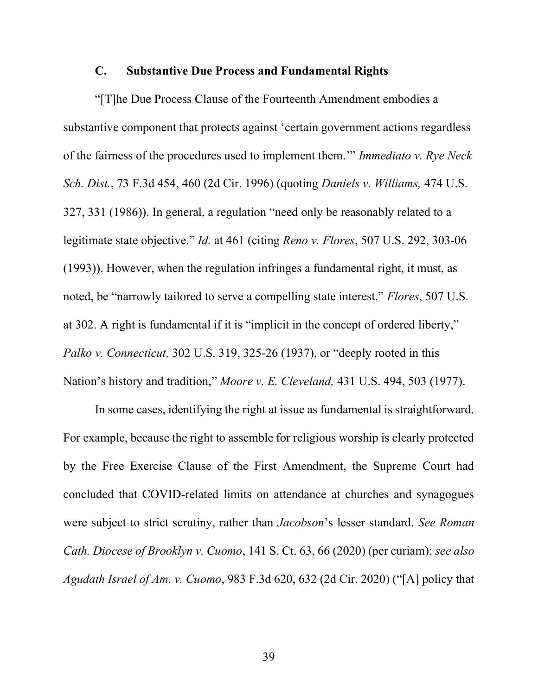### C. Substantive Due Process and Fundamental Rights

"[T]he Due Process Clause of the Fourteenth Amendment embodies a substantive component that protects against 'certain government actions regardless of the fairness of the procedures used to implement them.'" Immediato v. Rye Neck Sch. Dist., 73 F.3d 454, 460 (2d Cir. 1996) (quoting Daniels v. Williams, 474 U.S. 327, 331 (1986)). In general, a regulation "need only be reasonably related to a legitimate state objective." Id. at 461 (citing Reno v. Flores, 507 U.S. 292, 303-06 (1993)). However, when the regulation infringes a fundamental right, it must, as noted, be "narrowly tailored to serve a compelling state interest." Flores, 507 U.S. at 302. A right is fundamental if it is "implicit in the concept of ordered liberty," Palko v. Connecticut, 302 U.S. 319, 325-26 (1937), or "deeply rooted in this Nation's history and tradition," Moore v. E. Cleveland, 431 U.S. 494, 503 (1977).

In some cases, identifying the right at issue as fundamental is straightforward. For example, because the right to assemble for religious worship is clearly protected by the Free Exercise Clause of the First Amendment, the Supreme Court had concluded that COVID-related limits on attendance at churches and synagogues were subject to strict scrutiny, rather than *Jacobson's* lesser standard. See Roman Cath. Diocese of Brooklyn v. Cuomo, 141 S. Ct. 63, 66 (2020) (per curiam); see also Agudath Israel of Am. v. Cuomo, 983 F.3d 620, 632 (2d Cir. 2020) ("[A] policy that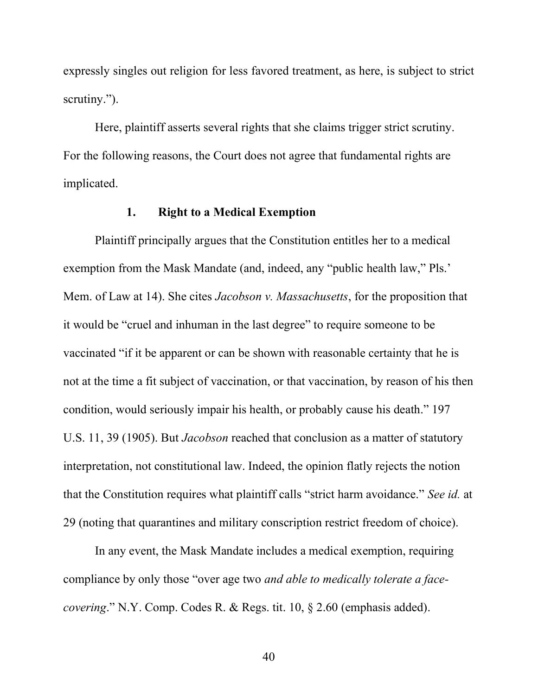expressly singles out religion for less favored treatment, as here, is subject to strict scrutiny.").

Here, plaintiff asserts several rights that she claims trigger strict scrutiny. For the following reasons, the Court does not agree that fundamental rights are implicated.

#### 1. Right to a Medical Exemption

Plaintiff principally argues that the Constitution entitles her to a medical exemption from the Mask Mandate (and, indeed, any "public health law," Pls.' Mem. of Law at 14). She cites *Jacobson v. Massachusetts*, for the proposition that it would be "cruel and inhuman in the last degree" to require someone to be vaccinated "if it be apparent or can be shown with reasonable certainty that he is not at the time a fit subject of vaccination, or that vaccination, by reason of his then condition, would seriously impair his health, or probably cause his death." 197 U.S. 11, 39 (1905). But Jacobson reached that conclusion as a matter of statutory interpretation, not constitutional law. Indeed, the opinion flatly rejects the notion that the Constitution requires what plaintiff calls "strict harm avoidance." See id. at 29 (noting that quarantines and military conscription restrict freedom of choice).

In any event, the Mask Mandate includes a medical exemption, requiring compliance by only those "over age two and able to medically tolerate a facecovering." N.Y. Comp. Codes R. & Regs. tit. 10, § 2.60 (emphasis added).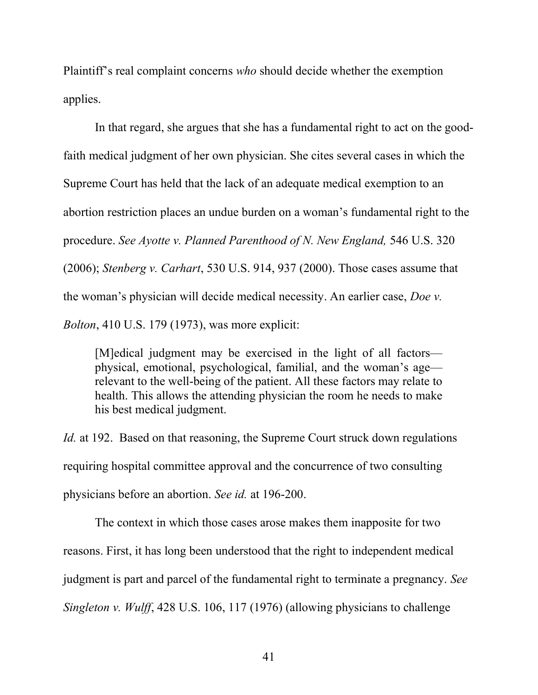Plaintiff's real complaint concerns who should decide whether the exemption applies.

In that regard, she argues that she has a fundamental right to act on the goodfaith medical judgment of her own physician. She cites several cases in which the Supreme Court has held that the lack of an adequate medical exemption to an abortion restriction places an undue burden on a woman's fundamental right to the procedure. See Ayotte v. Planned Parenthood of N. New England, 546 U.S. 320 (2006); Stenberg v. Carhart, 530 U.S. 914, 937 (2000). Those cases assume that the woman's physician will decide medical necessity. An earlier case, Doe v. Bolton, 410 U.S. 179 (1973), was more explicit:

[M]edical judgment may be exercised in the light of all factors physical, emotional, psychological, familial, and the woman's age relevant to the well-being of the patient. All these factors may relate to health. This allows the attending physician the room he needs to make his best medical judgment.

Id. at 192. Based on that reasoning, the Supreme Court struck down regulations requiring hospital committee approval and the concurrence of two consulting physicians before an abortion. See id. at 196-200.

The context in which those cases arose makes them inapposite for two reasons. First, it has long been understood that the right to independent medical judgment is part and parcel of the fundamental right to terminate a pregnancy. See Singleton v. Wulff, 428 U.S. 106, 117 (1976) (allowing physicians to challenge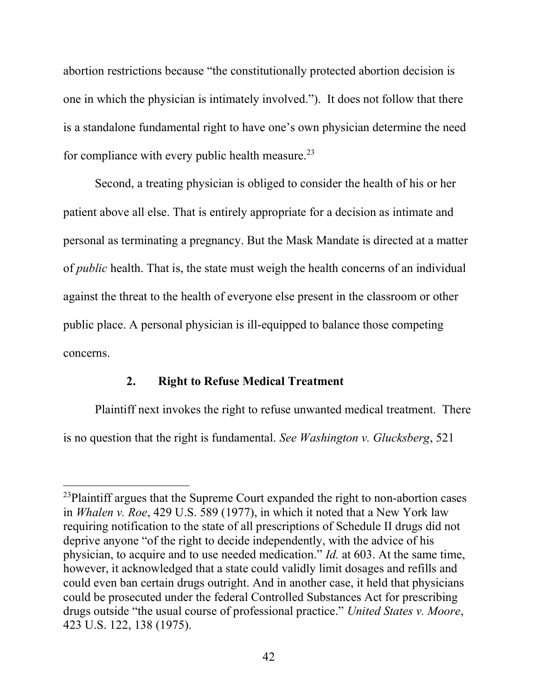abortion restrictions because "the constitutionally protected abortion decision is one in which the physician is intimately involved."). It does not follow that there is a standalone fundamental right to have one's own physician determine the need for compliance with every public health measure.<sup>23</sup>

Second, a treating physician is obliged to consider the health of his or her patient above all else. That is entirely appropriate for a decision as intimate and personal as terminating a pregnancy. But the Mask Mandate is directed at a matter of public health. That is, the state must weigh the health concerns of an individual against the threat to the health of everyone else present in the classroom or other public place. A personal physician is ill-equipped to balance those competing concerns.

## 2. Right to Refuse Medical Treatment

Plaintiff next invokes the right to refuse unwanted medical treatment. There is no question that the right is fundamental. See Washington v. Glucksberg, 521

 $^{23}$ Plaintiff argues that the Supreme Court expanded the right to non-abortion cases in Whalen v. Roe, 429 U.S. 589 (1977), in which it noted that a New York law requiring notification to the state of all prescriptions of Schedule II drugs did not deprive anyone "of the right to decide independently, with the advice of his physician, to acquire and to use needed medication." Id. at 603. At the same time, however, it acknowledged that a state could validly limit dosages and refills and could even ban certain drugs outright. And in another case, it held that physicians could be prosecuted under the federal Controlled Substances Act for prescribing drugs outside "the usual course of professional practice." United States v. Moore, 423 U.S. 122, 138 (1975).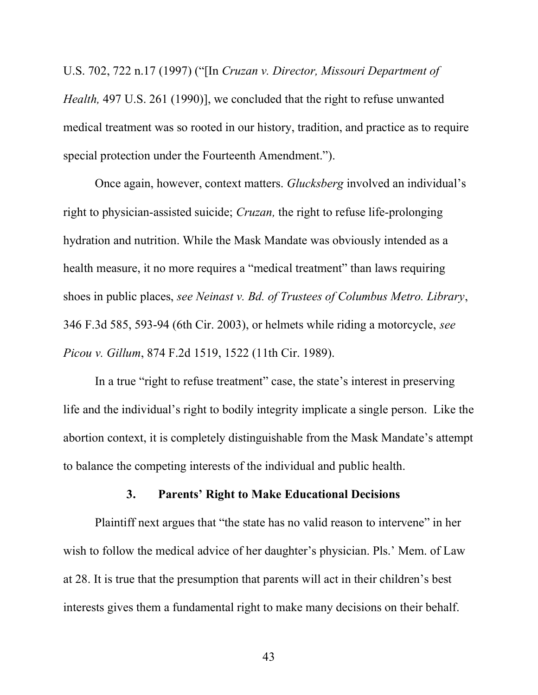U.S. 702, 722 n.17 (1997) ("[In Cruzan v. Director, Missouri Department of Health, 497 U.S. 261 (1990)], we concluded that the right to refuse unwanted medical treatment was so rooted in our history, tradition, and practice as to require special protection under the Fourteenth Amendment.").

Once again, however, context matters. Glucksberg involved an individual's right to physician-assisted suicide; *Cruzan*, the right to refuse life-prolonging hydration and nutrition. While the Mask Mandate was obviously intended as a health measure, it no more requires a "medical treatment" than laws requiring shoes in public places, see Neinast v. Bd. of Trustees of Columbus Metro. Library, 346 F.3d 585, 593-94 (6th Cir. 2003), or helmets while riding a motorcycle, see Picou v. Gillum, 874 F.2d 1519, 1522 (11th Cir. 1989).

In a true "right to refuse treatment" case, the state's interest in preserving life and the individual's right to bodily integrity implicate a single person. Like the abortion context, it is completely distinguishable from the Mask Mandate's attempt to balance the competing interests of the individual and public health.

## 3. Parents' Right to Make Educational Decisions

Plaintiff next argues that "the state has no valid reason to intervene" in her wish to follow the medical advice of her daughter's physician. Pls.' Mem. of Law at 28. It is true that the presumption that parents will act in their children's best interests gives them a fundamental right to make many decisions on their behalf.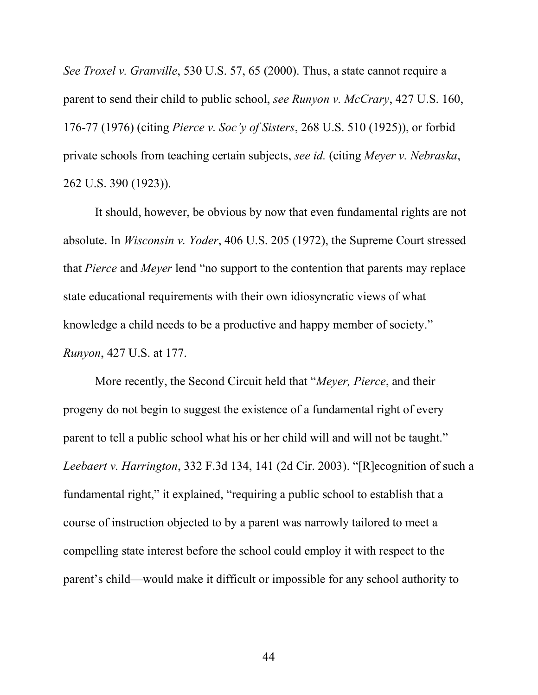See Troxel v. Granville, 530 U.S. 57, 65 (2000). Thus, a state cannot require a parent to send their child to public school, see Runyon v. McCrary, 427 U.S. 160, 176-77 (1976) (citing Pierce v. Soc'y of Sisters, 268 U.S. 510 (1925)), or forbid private schools from teaching certain subjects, see id. (citing Meyer v. Nebraska, 262 U.S. 390 (1923)).

It should, however, be obvious by now that even fundamental rights are not absolute. In Wisconsin v. Yoder, 406 U.S. 205 (1972), the Supreme Court stressed that Pierce and Meyer lend "no support to the contention that parents may replace state educational requirements with their own idiosyncratic views of what knowledge a child needs to be a productive and happy member of society." Runyon, 427 U.S. at 177.

More recently, the Second Circuit held that "Meyer, Pierce, and their progeny do not begin to suggest the existence of a fundamental right of every parent to tell a public school what his or her child will and will not be taught." Leebaert v. Harrington, 332 F.3d 134, 141 (2d Cir. 2003). "[R]ecognition of such a fundamental right," it explained, "requiring a public school to establish that a course of instruction objected to by a parent was narrowly tailored to meet a compelling state interest before the school could employ it with respect to the parent's child—would make it difficult or impossible for any school authority to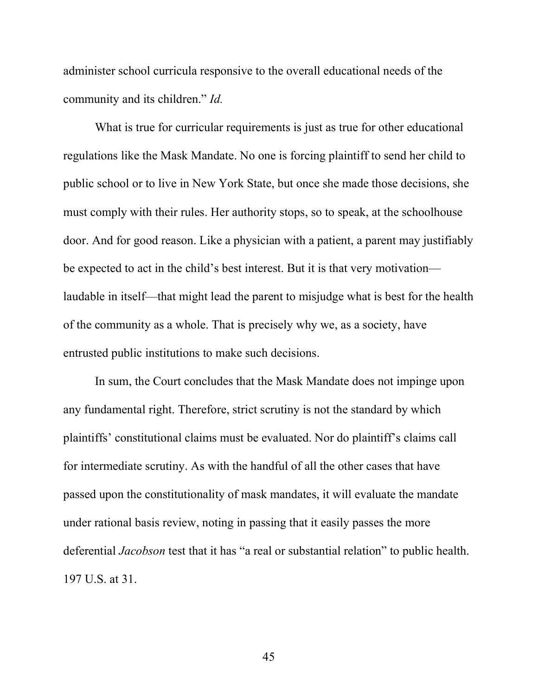administer school curricula responsive to the overall educational needs of the community and its children." Id.

What is true for curricular requirements is just as true for other educational regulations like the Mask Mandate. No one is forcing plaintiff to send her child to public school or to live in New York State, but once she made those decisions, she must comply with their rules. Her authority stops, so to speak, at the schoolhouse door. And for good reason. Like a physician with a patient, a parent may justifiably be expected to act in the child's best interest. But it is that very motivation laudable in itself—that might lead the parent to misjudge what is best for the health of the community as a whole. That is precisely why we, as a society, have entrusted public institutions to make such decisions.

In sum, the Court concludes that the Mask Mandate does not impinge upon any fundamental right. Therefore, strict scrutiny is not the standard by which plaintiffs' constitutional claims must be evaluated. Nor do plaintiff's claims call for intermediate scrutiny. As with the handful of all the other cases that have passed upon the constitutionality of mask mandates, it will evaluate the mandate under rational basis review, noting in passing that it easily passes the more deferential Jacobson test that it has "a real or substantial relation" to public health. 197 U.S. at 31.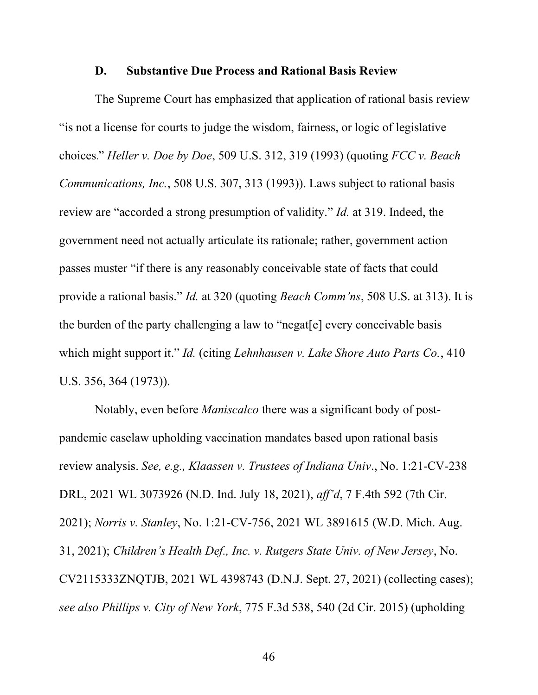#### D. Substantive Due Process and Rational Basis Review

 The Supreme Court has emphasized that application of rational basis review "is not a license for courts to judge the wisdom, fairness, or logic of legislative choices." Heller v. Doe by Doe, 509 U.S. 312, 319 (1993) (quoting FCC v. Beach Communications, Inc., 508 U.S. 307, 313 (1993)). Laws subject to rational basis review are "accorded a strong presumption of validity." Id. at 319. Indeed, the government need not actually articulate its rationale; rather, government action passes muster "if there is any reasonably conceivable state of facts that could provide a rational basis." Id. at 320 (quoting Beach Comm'ns, 508 U.S. at 313). It is the burden of the party challenging a law to "negat[e] every conceivable basis which might support it." Id. (citing Lehnhausen v. Lake Shore Auto Parts  $Co$ , 410 U.S. 356, 364 (1973)).

 Notably, even before Maniscalco there was a significant body of postpandemic caselaw upholding vaccination mandates based upon rational basis review analysis. See, e.g., Klaassen v. Trustees of Indiana Univ., No. 1:21-CV-238 DRL, 2021 WL 3073926 (N.D. Ind. July 18, 2021), aff'd, 7 F.4th 592 (7th Cir. 2021); Norris v. Stanley, No. 1:21-CV-756, 2021 WL 3891615 (W.D. Mich. Aug. 31, 2021); Children's Health Def., Inc. v. Rutgers State Univ. of New Jersey, No. CV2115333ZNQTJB, 2021 WL 4398743 (D.N.J. Sept. 27, 2021) (collecting cases); see also Phillips v. City of New York, 775 F.3d 538, 540 (2d Cir. 2015) (upholding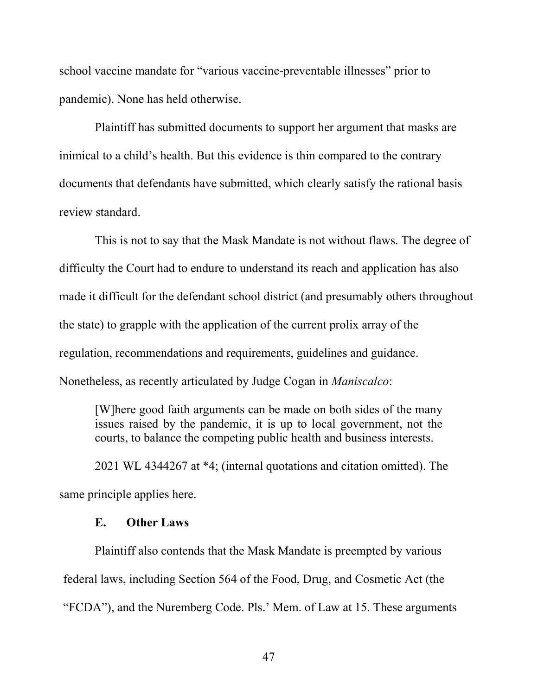school vaccine mandate for "various vaccine-preventable illnesses" prior to pandemic). None has held otherwise.

Plaintiff has submitted documents to support her argument that masks are inimical to a child's health. But this evidence is thin compared to the contrary documents that defendants have submitted, which clearly satisfy the rational basis review standard.

This is not to say that the Mask Mandate is not without flaws. The degree of difficulty the Court had to endure to understand its reach and application has also made it difficult for the defendant school district (and presumably others throughout the state) to grapple with the application of the current prolix array of the regulation, recommendations and requirements, guidelines and guidance. Nonetheless, as recently articulated by Judge Cogan in Maniscalco:

[W]here good faith arguments can be made on both sides of the many issues raised by the pandemic, it is up to local government, not the courts, to balance the competing public health and business interests.

2021 WL 4344267 at \*4; (internal quotations and citation omitted). The same principle applies here.

#### E. Other Laws

Plaintiff also contends that the Mask Mandate is preempted by various federal laws, including Section 564 of the Food, Drug, and Cosmetic Act (the "FCDA"), and the Nuremberg Code. Pls.' Mem. of Law at 15. These arguments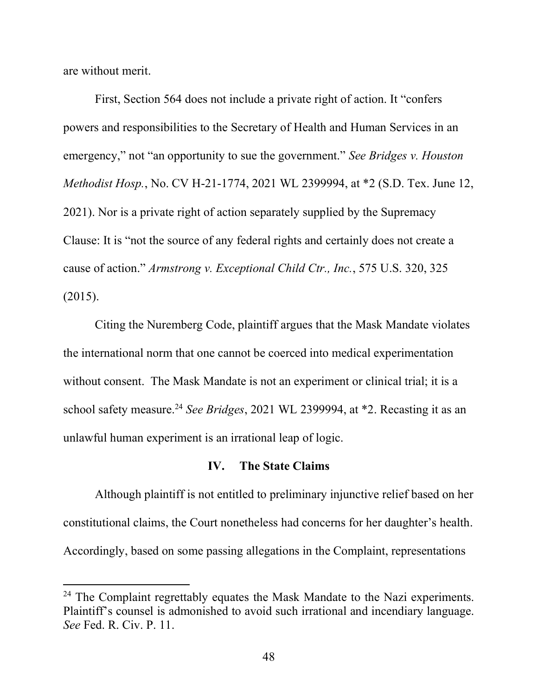are without merit.

First, Section 564 does not include a private right of action. It "confers powers and responsibilities to the Secretary of Health and Human Services in an emergency," not "an opportunity to sue the government." See Bridges v. Houston Methodist Hosp., No. CV H-21-1774, 2021 WL 2399994, at \*2 (S.D. Tex. June 12, 2021). Nor is a private right of action separately supplied by the Supremacy Clause: It is "not the source of any federal rights and certainly does not create a cause of action." Armstrong v. Exceptional Child Ctr., Inc., 575 U.S. 320, 325 (2015).

Citing the Nuremberg Code, plaintiff argues that the Mask Mandate violates the international norm that one cannot be coerced into medical experimentation without consent. The Mask Mandate is not an experiment or clinical trial; it is a school safety measure.<sup>24</sup> See Bridges, 2021 WL 2399994, at  $*$ 2. Recasting it as an unlawful human experiment is an irrational leap of logic.

### IV. The State Claims

Although plaintiff is not entitled to preliminary injunctive relief based on her constitutional claims, the Court nonetheless had concerns for her daughter's health. Accordingly, based on some passing allegations in the Complaint, representations

 $24$  The Complaint regrettably equates the Mask Mandate to the Nazi experiments. Plaintiff's counsel is admonished to avoid such irrational and incendiary language. See Fed. R. Civ. P. 11.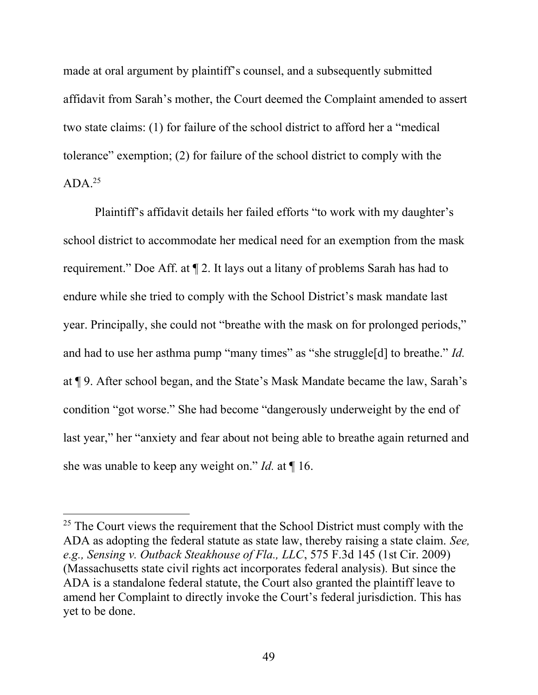made at oral argument by plaintiff's counsel, and a subsequently submitted affidavit from Sarah's mother, the Court deemed the Complaint amended to assert two state claims: (1) for failure of the school district to afford her a "medical tolerance" exemption; (2) for failure of the school district to comply with the  $ADA.<sup>25</sup>$ 

 Plaintiff's affidavit details her failed efforts "to work with my daughter's school district to accommodate her medical need for an exemption from the mask requirement." Doe Aff. at ¶ 2. It lays out a litany of problems Sarah has had to endure while she tried to comply with the School District's mask mandate last year. Principally, she could not "breathe with the mask on for prolonged periods," and had to use her asthma pump "many times" as "she struggle[d] to breathe." *Id.* at ¶ 9. After school began, and the State's Mask Mandate became the law, Sarah's condition "got worse." She had become "dangerously underweight by the end of last year," her "anxiety and fear about not being able to breathe again returned and she was unable to keep any weight on." Id. at  $\P$  16.

 $25$  The Court views the requirement that the School District must comply with the ADA as adopting the federal statute as state law, thereby raising a state claim. See, e.g., Sensing v. Outback Steakhouse of Fla., LLC, 575 F.3d 145 (1st Cir. 2009) (Massachusetts state civil rights act incorporates federal analysis). But since the ADA is a standalone federal statute, the Court also granted the plaintiff leave to amend her Complaint to directly invoke the Court's federal jurisdiction. This has yet to be done.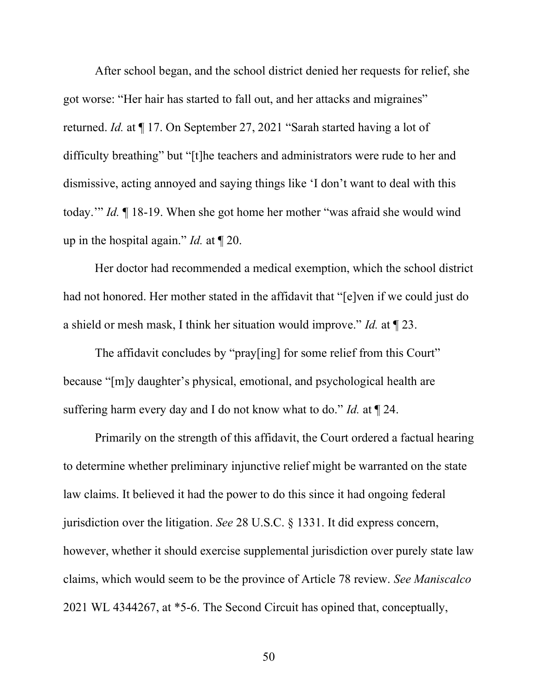After school began, and the school district denied her requests for relief, she got worse: "Her hair has started to fall out, and her attacks and migraines" returned. Id. at ¶ 17. On September 27, 2021 "Sarah started having a lot of difficulty breathing" but "[t]he teachers and administrators were rude to her and dismissive, acting annoyed and saying things like 'I don't want to deal with this today.'" Id. ¶ 18-19. When she got home her mother "was afraid she would wind up in the hospital again." *Id.* at  $\P$  20.

 Her doctor had recommended a medical exemption, which the school district had not honored. Her mother stated in the affidavit that "[e]ven if we could just do a shield or mesh mask, I think her situation would improve." Id. at  $\P$  23.

The affidavit concludes by "pray[ing] for some relief from this Court" because "[m]y daughter's physical, emotional, and psychological health are suffering harm every day and I do not know what to do." Id. at  $\P$  24.

Primarily on the strength of this affidavit, the Court ordered a factual hearing to determine whether preliminary injunctive relief might be warranted on the state law claims. It believed it had the power to do this since it had ongoing federal jurisdiction over the litigation. See 28 U.S.C. § 1331. It did express concern, however, whether it should exercise supplemental jurisdiction over purely state law claims, which would seem to be the province of Article 78 review. See Maniscalco 2021 WL 4344267, at \*5-6. The Second Circuit has opined that, conceptually,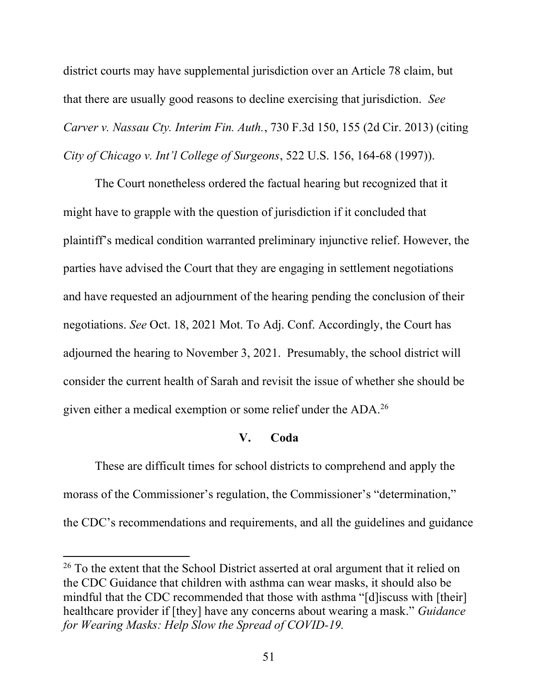district courts may have supplemental jurisdiction over an Article 78 claim, but that there are usually good reasons to decline exercising that jurisdiction. See Carver v. Nassau Cty. Interim Fin. Auth., 730 F.3d 150, 155 (2d Cir. 2013) (citing City of Chicago v. Int'l College of Surgeons, 522 U.S. 156, 164-68 (1997)).

 The Court nonetheless ordered the factual hearing but recognized that it might have to grapple with the question of jurisdiction if it concluded that plaintiff's medical condition warranted preliminary injunctive relief. However, the parties have advised the Court that they are engaging in settlement negotiations and have requested an adjournment of the hearing pending the conclusion of their negotiations. See Oct. 18, 2021 Mot. To Adj. Conf. Accordingly, the Court has adjourned the hearing to November 3, 2021. Presumably, the school district will consider the current health of Sarah and revisit the issue of whether she should be given either a medical exemption or some relief under the  $ADA.^{26}$ 

### V. Coda

 These are difficult times for school districts to comprehend and apply the morass of the Commissioner's regulation, the Commissioner's "determination," the CDC's recommendations and requirements, and all the guidelines and guidance

<sup>&</sup>lt;sup>26</sup> To the extent that the School District asserted at oral argument that it relied on the CDC Guidance that children with asthma can wear masks, it should also be mindful that the CDC recommended that those with asthma "[d]iscuss with [their] healthcare provider if [they] have any concerns about wearing a mask." Guidance for Wearing Masks: Help Slow the Spread of COVID-19.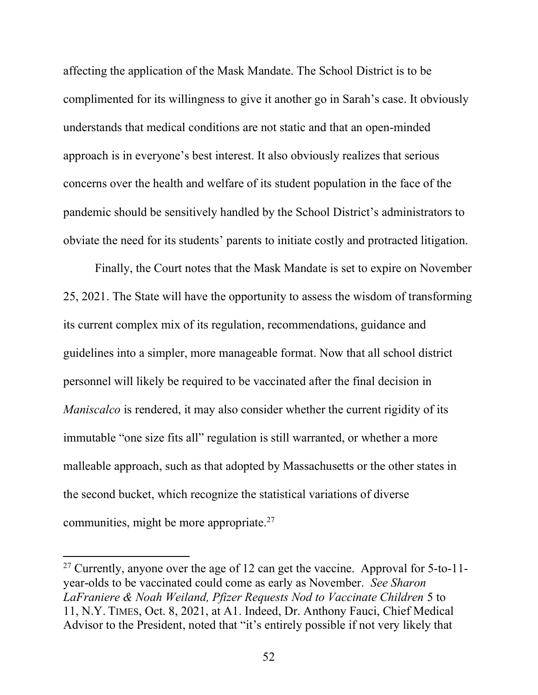affecting the application of the Mask Mandate. The School District is to be complimented for its willingness to give it another go in Sarah's case. It obviously understands that medical conditions are not static and that an open-minded approach is in everyone's best interest. It also obviously realizes that serious concerns over the health and welfare of its student population in the face of the pandemic should be sensitively handled by the School District's administrators to obviate the need for its students' parents to initiate costly and protracted litigation.

Finally, the Court notes that the Mask Mandate is set to expire on November 25, 2021. The State will have the opportunity to assess the wisdom of transforming its current complex mix of its regulation, recommendations, guidance and guidelines into a simpler, more manageable format. Now that all school district personnel will likely be required to be vaccinated after the final decision in *Maniscalco* is rendered, it may also consider whether the current rigidity of its immutable "one size fits all" regulation is still warranted, or whether a more malleable approach, such as that adopted by Massachusetts or the other states in the second bucket, which recognize the statistical variations of diverse communities, might be more appropriate. $27$ 

 $27$  Currently, anyone over the age of 12 can get the vaccine. Approval for 5-to-11year-olds to be vaccinated could come as early as November. See Sharon LaFraniere & Noah Weiland, Pfizer Requests Nod to Vaccinate Children 5 to 11, N.Y. TIMES, Oct. 8, 2021, at A1. Indeed, Dr. Anthony Fauci, Chief Medical Advisor to the President, noted that "it's entirely possible if not very likely that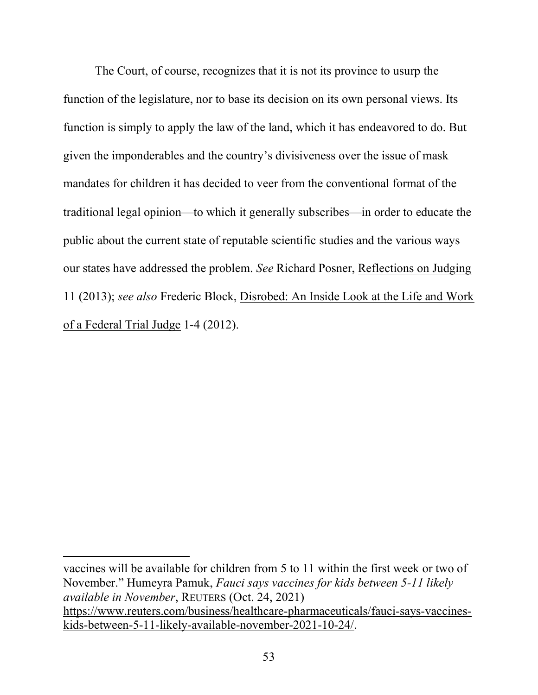The Court, of course, recognizes that it is not its province to usurp the function of the legislature, nor to base its decision on its own personal views. Its function is simply to apply the law of the land, which it has endeavored to do. But given the imponderables and the country's divisiveness over the issue of mask mandates for children it has decided to veer from the conventional format of the traditional legal opinion—to which it generally subscribes—in order to educate the public about the current state of reputable scientific studies and the various ways our states have addressed the problem. See Richard Posner, Reflections on Judging 11 (2013); see also Frederic Block, Disrobed: An Inside Look at the Life and Work of a Federal Trial Judge 1-4 (2012).

vaccines will be available for children from 5 to 11 within the first week or two of November." Humeyra Pamuk, Fauci says vaccines for kids between 5-11 likely available in November, REUTERS (Oct. 24, 2021) https://www.reuters.com/business/healthcare-pharmaceuticals/fauci-says-vaccineskids-between-5-11-likely-available-november-2021-10-24/.